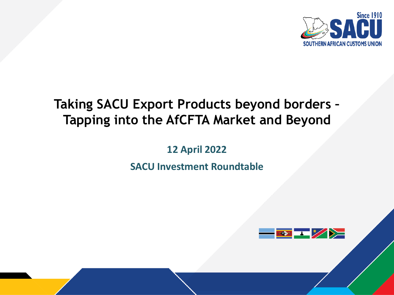

# **Taking SACU Export Products beyond borders – Tapping into the AfCFTA Market and Beyond**

**12 April 2022**

**SACU Investment Roundtable**

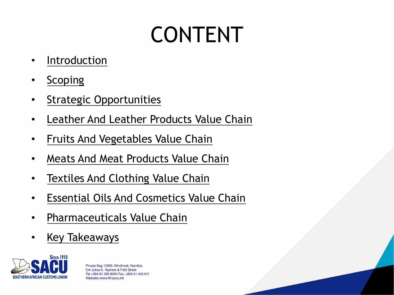# [CONTEN](#page-2-0)T

- [Introduction](#page-2-0)
- [Scoping](#page-2-0)
- **[Strategic Oppo](#page-2-0)rtunities**
- Leather And Leather Products Value Chain
- Fruits And Vegetables Value Chain
- Meats And Meat Products Value Chain
- Textiles And Clothing Value Chain
- Essential Oils And Cosmetics Value Chain
- Pharmaceuticals Value Chain
- Key Takeaways

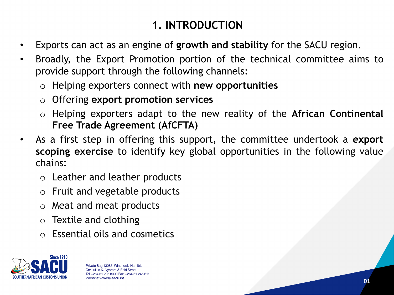# <span id="page-2-0"></span>**1. INTRODUCTION**

- Exports can act as an engine of **growth and stability** for the SACU region.
- Broadly, the Export Promotion portion of the technical committee aims to provide support through the following channels:
	- o Helping exporters connect with **new opportunities**
	- o Offering **export promotion services**
	- o Helping exporters adapt to the new reality of the **African Continental Free Trade Agreement (AfCFTA)**
- As a first step in offering this support, the committee undertook a **export scoping exercise** to identify key global opportunities in the following value chains:
	- o Leather and leather products
	- o Fruit and vegetable products
	- o Meat and meat products
	- o Textile and clothing
	- o Essential oils and cosmetics

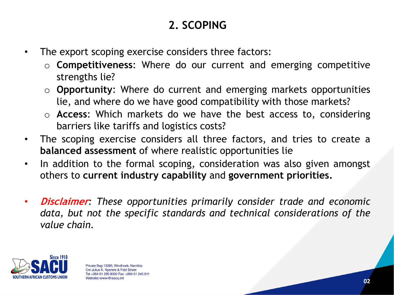# **2. SCOPING**

- The export scoping exercise considers three factors:
	- o **Competitiveness**: Where do our current and emerging competitive strengths lie?
	- o **Opportunity**: Where do current and emerging markets opportunities lie, and where do we have good compatibility with those markets?
	- o **Access**: Which markets do we have the best access to, considering barriers like tariffs and logistics costs?
- The scoping exercise considers all three factors, and tries to create a **balanced assessment** of where realistic opportunities lie
- In addition to the formal scoping, consideration was also given amongst others to **current industry capability** and **government priorities.**
- **Disclaimer***: These opportunities primarily consider trade and economic data, but not the specific standards and technical considerations of the value chain.*

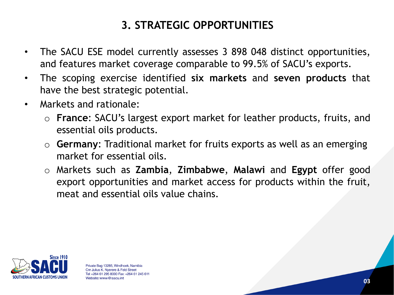# **3. STRATEGIC OPPORTUNITIES**

- The SACU ESE model currently assesses 3 898 048 distinct opportunities, and features market coverage comparable to 99.5% of SACU's exports.
- The scoping exercise identified **six markets** and **seven products** that have the best strategic potential.
- Markets and rationale:
	- o **France**: SACU's largest export market for leather products, fruits, and essential oils products.
	- o **Germany**: Traditional market for fruits exports as well as an emerging market for essential oils.
	- o Markets such as **Zambia**, **Zimbabwe**, **Malawi** and **Egypt** offer good export opportunities and market access for products within the fruit, meat and essential oils value chains.

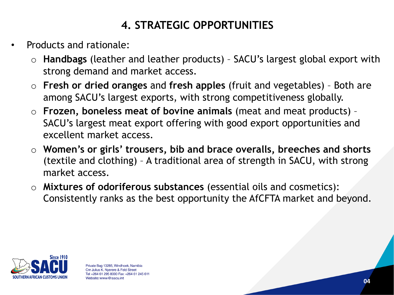# **4. STRATEGIC OPPORTUNITIES**

- Products and rationale:
	- o **Handbags** (leather and leather products) SACU's largest global export with strong demand and market access.
	- o **Fresh or dried oranges** and **fresh apples** (fruit and vegetables) Both are among SACU's largest exports, with strong competitiveness globally.
	- o **Frozen, boneless meat of bovine animals** (meat and meat products) SACU's largest meat export offering with good export opportunities and excellent market access.
	- o **Women's or girls' trousers, bib and brace overalls, breeches and shorts**  (textile and clothing) – A traditional area of strength in SACU, with strong market access.
	- o **Mixtures of odoriferous substances** (essential oils and cosmetics): Consistently ranks as the best opportunity the AfCFTA market and beyond.

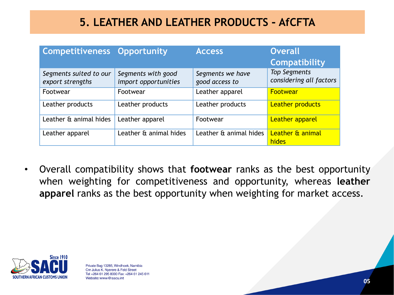#### **5. LEATHER AND LEATHER PRODUCTS - AfCFTA**

| <b>Competitiveness Opportunity</b>         |                                            | <b>Access</b>                      | <b>Overall</b>                                 |
|--------------------------------------------|--------------------------------------------|------------------------------------|------------------------------------------------|
|                                            |                                            |                                    | <b>Compatibility</b>                           |
| Segments suited to our<br>export strengths | Segments with good<br>import opportunities | Segments we have<br>good access to | <b>Top Segments</b><br>considering all factors |
| Footwear                                   | Footwear                                   | Leather apparel                    | Footwear                                       |
| Leather products                           | Leather products                           | Leather products                   | <b>Leather products</b>                        |
| Leather & animal hides                     | Leather apparel                            | Footwear                           | <b>Leather apparel</b>                         |
| Leather apparel                            | Leather & animal hides                     | Leather & animal hides             | Leather & animal<br>hides                      |

• Overall compatibility shows that **footwear** ranks as the best opportunity when weighting for competitiveness and opportunity, whereas **leather apparel** ranks as the best opportunity when weighting for market access.

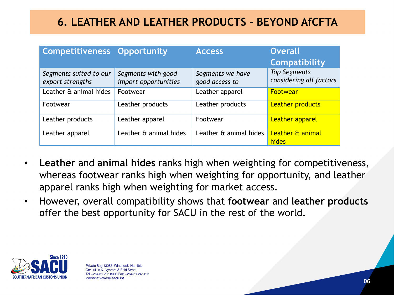#### **6. LEATHER AND LEATHER PRODUCTS – BEYOND AfCFTA**

| <b>Competitiveness Opportunity</b>         |                                            | <b>Access</b>                      | <b>Overall</b><br><b>Compatibility</b>         |
|--------------------------------------------|--------------------------------------------|------------------------------------|------------------------------------------------|
| Segments suited to our<br>export strengths | Segments with good<br>import opportunities | Segments we have<br>good access to | <b>Top Segments</b><br>considering all factors |
| Leather & animal hides                     | Footwear                                   | Leather apparel                    | Footwear                                       |
| Footwear                                   | Leather products                           | Leather products                   | <b>Leather products</b>                        |
| Leather products                           | Leather apparel                            | Footwear                           | <b>Leather apparel</b>                         |
| Leather apparel                            | Leather & animal hides                     | Leather & animal hides             | Leather & animal<br>hides                      |

- **Leather** and **animal hides** ranks high when weighting for competitiveness, whereas footwear ranks high when weighting for opportunity, and leather apparel ranks high when weighting for market access.
- However, overall compatibility shows that **footwear** and **leather products**  offer the best opportunity for SACU in the rest of the world.

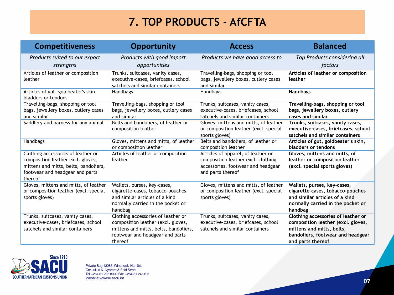#### **7. TOP PRODUCTS - AfCFTA**

| <b>Competitiveness</b>                                                                                                                                         | <b>Opportunity</b>                                                                                                                                              | <b>Access</b>                                                                                                                       | <b>Balanced</b>                                                                                                                                                 |
|----------------------------------------------------------------------------------------------------------------------------------------------------------------|-----------------------------------------------------------------------------------------------------------------------------------------------------------------|-------------------------------------------------------------------------------------------------------------------------------------|-----------------------------------------------------------------------------------------------------------------------------------------------------------------|
| Products suited to our export<br>strengths                                                                                                                     | Products with good import<br>opportunities                                                                                                                      | Products we have good access to                                                                                                     | Top Products considering all<br>factors                                                                                                                         |
| Articles of leather or composition<br>leather                                                                                                                  | Trunks, suitcases, vanity cases,<br>executive-cases, briefcases, school<br>satchels and similar containers                                                      | Travelling-bags, shopping or tool<br>bags, jewellery boxes, cutlery cases<br>and similar                                            | Articles of leather or composition<br>leather                                                                                                                   |
| Articles of gut, goldbeater's skin,<br>bladders or tendons                                                                                                     | Handbags                                                                                                                                                        | Handbags                                                                                                                            | <b>Handbags</b>                                                                                                                                                 |
| Travelling-bags, shopping or tool<br>bags, jewellery boxes, cutlery cases<br>and similar                                                                       | Travelling-bags, shopping or tool<br>bags, jewellery boxes, cutlery cases<br>and similar                                                                        | Trunks, suitcases, vanity cases,<br>executive-cases, briefcases, school<br>satchels and similar containers                          | Travelling-bags, shopping or tool<br>bags, jewellery boxes, cutlery<br>cases and similar                                                                        |
| Saddlery and harness for any animal                                                                                                                            | Belts and bandoliers, of leather or<br>composition leather                                                                                                      | Gloves, mittens and mitts, of leather<br>or composition leather (excl. special<br>sports gloves)                                    | Trunks, suitcases, vanity cases,<br>executive-cases, briefcases, school<br>satchels and similar containers                                                      |
| Handbags                                                                                                                                                       | Gloves, mittens and mitts, of leather<br>or composition leather                                                                                                 | Belts and bandoliers, of leather or<br>composition leather                                                                          | Articles of gut, goldbeater's skin,<br>bladders or tendons                                                                                                      |
| Clothing accessories of leather or<br>composition leather excl. gloves,<br>mittens and mitts, belts, bandoliers,<br>footwear and headgear and parts<br>thereof | Articles of leather or composition<br>leather                                                                                                                   | Articles of apparel, of leather or<br>composition leather excl. clothing<br>accessories, footwear and headgear<br>and parts thereof | Gloves, mittens and mitts, of<br>leather or composition leather<br>(excl. special sports gloves)                                                                |
| Gloves, mittens and mitts, of leather<br>or composition leather (excl. special<br>sports gloves)                                                               | Wallets, purses, key-cases,<br>cigarette-cases, tobacco-pouches<br>and similar articles of a kind<br>normally carried in the pocket or<br>handbag               | Gloves, mittens and mitts, of leather<br>or composition leather (excl. special<br>sports gloves)                                    | Wallets, purses, key-cases,<br>cigarette-cases, tobacco-pouches<br>and similar articles of a kind<br>normally carried in the pocket or<br>handbag               |
| Trunks, suitcases, vanity cases,<br>executive-cases, briefcases, school<br>satchels and similar containers                                                     | Clothing accessories of leather or<br>composition leather (excl. gloves,<br>mittens and mitts, belts, bandoliers,<br>footwear and headgear and parts<br>thereof | Trunks, suitcases, vanity cases,<br>executive-cases, briefcases, school<br>satchels and similar containers                          | Clothing accessories of leather or<br>composition leather (excl. gloves,<br>mittens and mitts, belts,<br>bandoliers, footwear and headgear<br>and parts thereof |

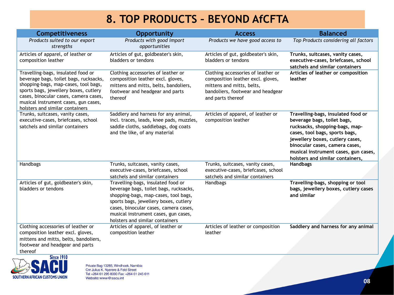#### **8. TOP PRODUCTS – BEYOND AfCFTA**

| <b>Competitiveness</b>                                                                                                                                                                                                                                                            | Opportunity                                                                                                                                                                                                                                                                       | <b>Access</b>                                                                                                                                                  | <b>Balanced</b>                                                                                                                                                                                                                                                                        |
|-----------------------------------------------------------------------------------------------------------------------------------------------------------------------------------------------------------------------------------------------------------------------------------|-----------------------------------------------------------------------------------------------------------------------------------------------------------------------------------------------------------------------------------------------------------------------------------|----------------------------------------------------------------------------------------------------------------------------------------------------------------|----------------------------------------------------------------------------------------------------------------------------------------------------------------------------------------------------------------------------------------------------------------------------------------|
| Products suited to our export<br>strengths                                                                                                                                                                                                                                        | Products with good import<br>opportunities                                                                                                                                                                                                                                        | Products we have good access to                                                                                                                                | Top Products considering all factors                                                                                                                                                                                                                                                   |
| Articles of apparel, of leather or<br>composition leather                                                                                                                                                                                                                         | Articles of gut, goldbeater's skin,<br>bladders or tendons                                                                                                                                                                                                                        | Articles of gut, goldbeater's skin,<br>bladders or tendons                                                                                                     | Trunks, suitcases, vanity cases,<br>executive-cases, briefcases, school<br>satchels and similar containers                                                                                                                                                                             |
| Travelling-bags, insulated food or<br>beverage bags, toilet bags, rucksacks,<br>shopping-bags, map-cases, tool bags,<br>sports bags, jewellery boxes, cutlery<br>cases, binocular cases, camera cases,<br>musical instrument cases, gun cases,<br>holsters and similar containers | Clothing accessories of leather or<br>composition leather excl. gloves,<br>mittens and mitts, belts, bandoliers,<br>footwear and headgear and parts<br>thereof                                                                                                                    | Clothing accessories of leather or<br>composition leather excl. gloves,<br>mittens and mitts, belts,<br>bandoliers, footwear and headgear<br>and parts thereof | Articles of leather or composition<br>leather                                                                                                                                                                                                                                          |
| Trunks, suitcases, vanity cases,<br>executive-cases, briefcases, school<br>satchels and similar containers                                                                                                                                                                        | Saddlery and harness for any animal,<br>incl. traces, leads, knee pads, muzzles,<br>saddle cloths, saddlebags, dog coats<br>and the like, of any material                                                                                                                         | Articles of apparel, of leather or<br>composition leather                                                                                                      | Travelling-bags, insulated food or<br>beverage bags, toilet bags,<br>rucksacks, shopping-bags, map-<br>cases, tool bags, sports bags,<br>jewellery boxes, cutlery cases,<br>binocular cases, camera cases,<br>musical instrument cases, gun cases,<br>holsters and similar containers, |
| Handbags                                                                                                                                                                                                                                                                          | Trunks, suitcases, vanity cases,<br>executive-cases, briefcases, school<br>satchels and similar containers                                                                                                                                                                        | Trunks, suitcases, vanity cases,<br>executive-cases, briefcases, school<br>satchels and similar containers                                                     | Handbags                                                                                                                                                                                                                                                                               |
| Articles of gut, goldbeater's skin,<br>bladders or tendons                                                                                                                                                                                                                        | Travelling-bags, insulated food or<br>beverage bags, toilet bags, rucksacks,<br>shopping-bags, map-cases, tool bags,<br>sports bags, jewellery boxes, cutlery<br>cases, binocular cases, camera cases,<br>musical instrument cases, gun cases,<br>holsters and similar containers | Handbags                                                                                                                                                       | Travelling-bags, shopping or tool<br>bags, jewellery boxes, cutlery cases<br>and similar                                                                                                                                                                                               |
| Clothing accessories of leather or<br>composition leather excl. gloves,<br>mittens and mitts, belts, bandoliers,<br>footwear and headgear and parts<br>thereof                                                                                                                    | Articles of apparel, of leather or<br>composition leather                                                                                                                                                                                                                         | Articles of leather or composition<br>leather                                                                                                                  | Saddlery and harness for any animal                                                                                                                                                                                                                                                    |

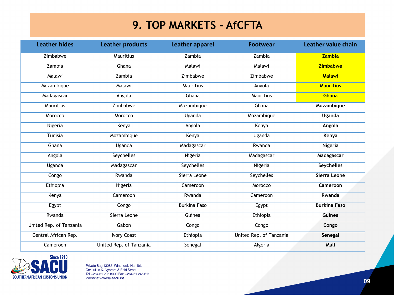#### **9. TOP MARKETS - AfCFTA**

| <b>Leather hides</b>    | <b>Leather products</b> | <b>Leather apparel</b> | <b>Footwear</b>         | <b>Leather value chain</b> |
|-------------------------|-------------------------|------------------------|-------------------------|----------------------------|
| Zimbabwe                | Mauritius               | Zambia                 | Zambia                  | <b>Zambia</b>              |
| Zambia                  | Ghana                   | Malawi                 | Malawi                  | <b>Zimbabwe</b>            |
| Malawi                  | Zambia                  | Zimbabwe               | Zimbabwe                | <b>Malawi</b>              |
| Mozambique              | Malawi                  | <b>Mauritius</b>       | Angola                  | <b>Mauritius</b>           |
| Madagascar              | Angola                  | Ghana                  | Mauritius               | <b>Ghana</b>               |
| Mauritius               | Zimbabwe                | Mozambique             | Ghana                   | Mozambique                 |
| Morocco                 | Morocco                 | Uganda                 | Mozambique              | Uganda                     |
| Nigeria                 | Kenya                   | Angola                 | Kenya                   | Angola                     |
| Tunisia                 | Mozambique              | Kenya                  | Uganda                  | Kenya                      |
| Ghana                   | Uganda                  | Madagascar             | Rwanda                  | <b>Nigeria</b>             |
| Angola                  | Seychelles              | Nigeria                | Madagascar              | Madagascar                 |
| Uganda                  | Madagascar              | Seychelles             | Nigeria                 | <b>Seychelles</b>          |
| Congo                   | Rwanda                  | Sierra Leone           | Seychelles              | Sierra Leone               |
| Ethiopia                | Nigeria                 | Cameroon               | Morocco                 | Cameroon                   |
| Kenya                   | Cameroon                | Rwanda                 | Cameroon                | Rwanda                     |
| Egypt                   | Congo                   | <b>Burkina Faso</b>    | Egypt                   | <b>Burkina Faso</b>        |
| Rwanda                  | Sierra Leone            | Guinea                 | Ethiopia                | Guinea                     |
| United Rep. of Tanzania | Gabon                   | Congo                  | Congo                   | Congo                      |
| Central African Rep.    | <b>Ivory Coast</b>      | Ethiopia               | United Rep. of Tanzania | Senegal                    |
| Cameroon                | United Rep. of Tanzania | Senegal                | Algeria                 | Mali                       |

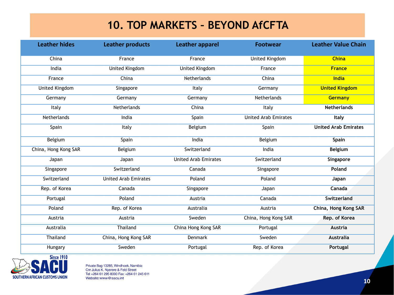#### **10. TOP MARKETS – BEYOND AfCFTA**

| <b>Leather hides</b>  | <b>Leather products</b>     | <b>Leather apparel</b>      | <b>Footwear</b>             | <b>Leather Value Chain</b>  |
|-----------------------|-----------------------------|-----------------------------|-----------------------------|-----------------------------|
| China                 | France                      | France                      | United Kingdom              | <b>China</b>                |
| India                 | <b>United Kingdom</b>       | <b>United Kingdom</b>       | France                      | <b>France</b>               |
| France                | China                       | Netherlands                 | China                       | India                       |
| <b>United Kingdom</b> | Singapore                   | Italy                       | Germany                     | <b>United Kingdom</b>       |
| Germany               | Germany                     | Germany                     | <b>Netherlands</b>          | <b>Germany</b>              |
| Italy                 | Netherlands                 | China                       | Italy                       | <b>Netherlands</b>          |
| Netherlands           | India                       | Spain                       | <b>United Arab Emirates</b> | Italy                       |
| Spain                 | Italy                       | Belgium                     | Spain                       | <b>United Arab Emirates</b> |
| Belgium               | Spain                       | India                       | Belgium                     | Spain                       |
| China, Hong Kong SAR  | Belgium                     | Switzerland                 | India                       | <b>Belgium</b>              |
| Japan                 | Japan                       | <b>United Arab Emirates</b> | Switzerland                 | Singapore                   |
| Singapore             | Switzerland                 | Canada                      | Singapore                   | Poland                      |
| Switzerland           | <b>United Arab Emirates</b> | Poland                      | Poland                      | Japan                       |
| Rep. of Korea         | Canada                      | Singapore                   | Japan                       | Canada                      |
| Portugal              | Poland                      | Austria                     | Canada                      | Switzerland                 |
| Poland                | Rep. of Korea               | Australia                   | Austria                     | China, Hong Kong SAR        |
| Austria               | Austria                     | Sweden                      | China, Hong Kong SAR        | Rep. of Korea               |
| Australia             | Thailand                    | China Hong Kong SAR         | Portugal                    | <b>Austria</b>              |
| Thailand              | China, Hong Kong SAR        | Denmark                     | Sweden                      | Australia                   |
| Hungary               | Sweden                      | Portugal                    | Rep. of Korea               | Portugal                    |

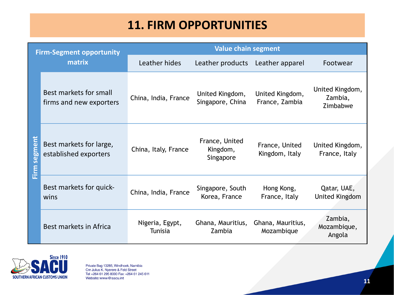# **11. FIRM OPPORTUNITIES**

| <b>Firm-Segment opportunity</b> |                                                   | <b>Value chain segment</b> |                                         |                                   |                                        |
|---------------------------------|---------------------------------------------------|----------------------------|-----------------------------------------|-----------------------------------|----------------------------------------|
|                                 | matrix                                            | Leather hides              | Leather products                        | Leather apparel                   | Footwear                               |
|                                 | Best markets for small<br>firms and new exporters | China, India, France       | United Kingdom,<br>Singapore, China     | United Kingdom,<br>France, Zambia | United Kingdom,<br>Zambia,<br>Zimbabwe |
| Firm segment                    | Best markets for large,<br>established exporters  | China, Italy, France       | France, United<br>Kingdom,<br>Singapore | France, United<br>Kingdom, Italy  | United Kingdom,<br>France, Italy       |
|                                 | Best markets for quick-<br>wins                   | China, India, France       | Singapore, South<br>Korea, France       | Hong Kong,<br>France, Italy       | Qatar, UAE,<br><b>United Kingdom</b>   |
|                                 | Best markets in Africa                            | Nigeria, Egypt,<br>Tunisia | Ghana, Mauritius,<br><b>Zambia</b>      | Ghana, Mauritius,<br>Mozambique   | Zambia,<br>Mozambique,<br>Angola       |

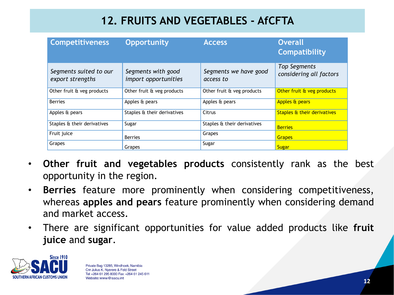# **12. FRUITS AND VEGETABLES - AfCFTA**

| <b>Competitiveness</b>                     | <b>Opportunity</b>                         | <b>Access</b>                      | <b>Overall</b><br><b>Compatibility</b>  |
|--------------------------------------------|--------------------------------------------|------------------------------------|-----------------------------------------|
| Segments suited to our<br>export strengths | Segments with good<br>import opportunities | Segments we have good<br>access to | Top Segments<br>considering all factors |
| Other fruit & veg products                 | Other fruit & veg products                 | Other fruit & veg products         | Other fruit & veg products              |
| <b>Berries</b>                             | Apples & pears                             | Apples & pears                     | Apples & pears                          |
| Apples & pears                             | Staples & their derivatives                | Citrus                             | Staples & their derivatives             |
| Staples & their derivatives                | Sugar                                      | Staples & their derivatives        | <b>Berries</b>                          |
| Fruit juice                                | <b>Berries</b>                             | Grapes                             | <b>Grapes</b>                           |
| Grapes                                     | Grapes                                     | Sugar                              | <b>Sugar</b>                            |

- **Other fruit and vegetables products** consistently rank as the best opportunity in the region.
- **Berries** feature more prominently when considering competitiveness, whereas **apples and pears** feature prominently when considering demand and market access.
- There are significant opportunities for value added products like **fruit juice** and **sugar**.

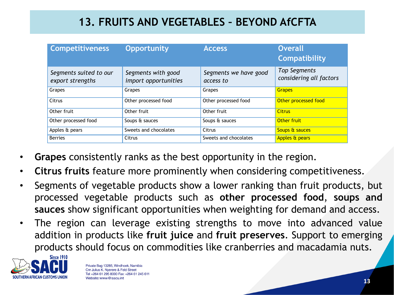### **13. FRUITS AND VEGETABLES – BEYOND AfCFTA**

| <b>Competitiveness</b>                     | <b>Opportunity</b>                         | <b>Access</b>                      | <b>Overall</b><br><b>Compatibility</b>         |
|--------------------------------------------|--------------------------------------------|------------------------------------|------------------------------------------------|
| Segments suited to our<br>export strengths | Segments with good<br>import opportunities | Segments we have good<br>access to | <b>Top Segments</b><br>considering all factors |
| Grapes                                     | Grapes                                     | Grapes                             | <b>Grapes</b>                                  |
| Citrus                                     | Other processed food                       | Other processed food               | Other processed food                           |
| Other fruit                                | Other fruit                                | Other fruit                        | <b>Citrus</b>                                  |
| Other processed food                       | Soups & sauces                             | Soups & sauces                     | Other fruit                                    |
| Apples & pears                             | Sweets and chocolates                      | Citrus                             | Soups & sauces                                 |
| <b>Berries</b>                             | Citrus                                     | Sweets and chocolates              | Apples & pears                                 |

- **Grapes** consistently ranks as the best opportunity in the region.
- **Citrus fruits** feature more prominently when considering competitiveness.
- Segments of vegetable products show a lower ranking than fruit products, but processed vegetable products such as **other processed food**, **soups and sauces** show significant opportunities when weighting for demand and access.
- The region can leverage existing strengths to move into advanced value addition in products like **fruit juice** and **fruit preserves**. Support to emerging products should focus on commodities like cranberries and macadamia nuts.

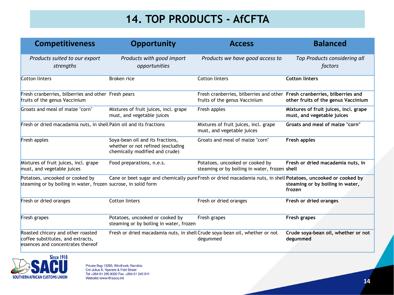# **14. TOP PRODUCTS - AfCFTA**

| <b>Competitiveness</b>                                                                                      | <b>Opportunity</b>                                                                                             | <b>Access</b>                                                                                              | <b>Balanced</b>                                                     |
|-------------------------------------------------------------------------------------------------------------|----------------------------------------------------------------------------------------------------------------|------------------------------------------------------------------------------------------------------------|---------------------------------------------------------------------|
| Products suited to our export<br>strengths                                                                  | Products with good import<br>opportunities                                                                     | Products we have good access to                                                                            | Top Products considering all<br>factors                             |
| Cotton linters                                                                                              | Broken rice                                                                                                    | Cotton linters                                                                                             | <b>Cotton linters</b>                                               |
| Fresh cranberries, bilberries and other Fresh pears<br>fruits of the genus Vaccinium                        |                                                                                                                | Fresh cranberries, bilberries and other Fresh cranberries, bilberries and<br>fruits of the genus Vaccinium | other fruits of the genus Vaccinium                                 |
| Groats and meal of maize "corn"                                                                             | Mixtures of fruit juices, incl. grape<br>must, and vegetable juices                                            | Fresh apples                                                                                               | Mixtures of fruit juices, incl. grape<br>must, and vegetable juices |
| Fresh or dried macadamia nuts, in shell Palm oil and its fractions                                          |                                                                                                                | Mixtures of fruit juices, incl. grape<br>must, and vegetable juices                                        | Groats and meal of maize "corn"                                     |
| Fresh apples                                                                                                | Soya-bean oil and its fractions,<br>whether or not refined (excluding<br>chemically modified and crude)        | Groats and meal of maize "corn"                                                                            | Fresh apples                                                        |
| Mixtures of fruit juices, incl. grape<br>must, and vegetable juices                                         | Food preparations, n.e.s.                                                                                      | Potatoes, uncooked or cooked by<br>steaming or by boiling in water, frozen shell                           | Fresh or dried macadamia nuts, in                                   |
| Potatoes, uncooked or cooked by<br>steaming or by boiling in water, frozen sucrose, in solid form           | Cane or beet sugar and chemically pure Fresh or dried macadamia nuts, in shell Potatoes, uncooked or cooked by |                                                                                                            | steaming or by boiling in water,<br>frozen                          |
| Fresh or dried oranges                                                                                      | Cotton linters                                                                                                 | Fresh or dried oranges                                                                                     | Fresh or dried oranges                                              |
| Fresh grapes                                                                                                | Potatoes, uncooked or cooked by<br>steaming or by boiling in water, frozen                                     | Fresh grapes                                                                                               | Fresh grapes                                                        |
| Roasted chicory and other roasted<br>coffee substitutes, and extracts,<br>essences and concentrates thereof | Fresh or dried macadamia nuts, in shell Crude soya-bean oil, whether or not                                    | degummed                                                                                                   | Crude soya-bean oil, whether or not<br>degummed                     |

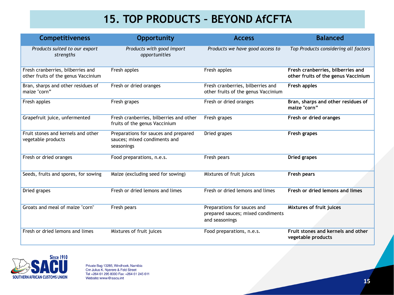#### **15. TOP PRODUCTS – BEYOND AfCFTA**

| <b>Competitiveness</b>                                                   | <b>Opportunity</b>                                                                       | <b>Access</b>                                                                      | <b>Balanced</b>                                                          |
|--------------------------------------------------------------------------|------------------------------------------------------------------------------------------|------------------------------------------------------------------------------------|--------------------------------------------------------------------------|
| Products suited to our export<br>strengths                               | Products with good import<br>opportunities                                               | Products we have good access to                                                    | Top Products considering all factors                                     |
| Fresh cranberries, bilberries and<br>other fruits of the genus Vaccinium | Fresh apples                                                                             | Fresh apples                                                                       | Fresh cranberries, bilberries and<br>other fruits of the genus Vaccinium |
| Bran, sharps and other residues of<br>maize "corn"                       | Fresh or dried oranges                                                                   | Fresh cranberries, bilberries and<br>other fruits of the genus Vaccinium           | Fresh apples                                                             |
| Fresh apples                                                             | Fresh grapes                                                                             | Fresh or dried oranges                                                             | Bran, sharps and other residues of<br>maize "corn"                       |
| Grapefruit juice, unfermented                                            | Fresh cranberries, bilberries and other<br>Fresh grapes<br>fruits of the genus Vaccinium |                                                                                    | Fresh or dried oranges                                                   |
| Fruit stones and kernels and other<br>vegetable products                 | Preparations for sauces and prepared<br>sauces; mixed condiments and<br>seasonings       | Dried grapes                                                                       | Fresh grapes                                                             |
| Fresh or dried oranges                                                   | Food preparations, n.e.s.                                                                | Fresh pears                                                                        | Dried grapes                                                             |
| Seeds, fruits and spores, for sowing                                     | Maize (excluding seed for sowing)                                                        | Mixtures of fruit juices                                                           | Fresh pears                                                              |
| Dried grapes                                                             | Fresh or dried lemons and limes                                                          | Fresh or dried lemons and limes                                                    | Fresh or dried lemons and limes                                          |
| Groats and meal of maize "corn"                                          | Fresh pears                                                                              | Preparations for sauces and<br>prepared sauces; mixed condiments<br>and seasonings | Mixtures of fruit juices                                                 |
| Fresh or dried lemons and limes                                          | Mixtures of fruit juices                                                                 | Food preparations, n.e.s.                                                          | Fruit stones and kernels and other<br>vegetable products                 |

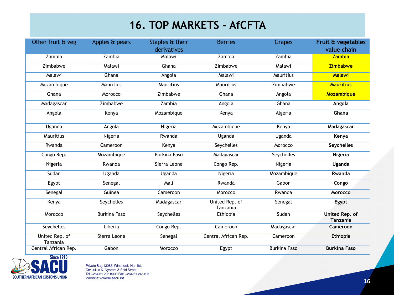#### **16. TOP MARKETS - AfCFTA**

| Other fruit & veg          | Apples & pears      | Staples & their<br>derivatives | <b>Berries</b>             | <b>Grapes</b>       | Fruit & vegetables<br>value chain        |
|----------------------------|---------------------|--------------------------------|----------------------------|---------------------|------------------------------------------|
| Zambia                     | Zambia              | Malawi                         | Zambia                     | Zambia              | <b>Zambia</b>                            |
| Zimbabwe                   | Malawi              | Ghana                          | Zimbabwe                   | Malawi              | Zimbabwe                                 |
| Malawi                     | Ghana               | Angola                         | Malawi                     | Mauritius           | <b>Malawi</b>                            |
| Mozambique                 | Mauritius           | Mauritius                      | Mauritius                  | Zimbabwe            | <b>Mauritius</b>                         |
| Ghana                      | Morocco             | Zimbabwe                       | Ghana                      | Angola              | Mozambique                               |
| Madagascar                 | Zimbabwe            | Zambia                         | Angola                     | Ghana               | Angola                                   |
| Angola                     | Kenya               | Mozambique                     | Kenya                      | Algeria             | Ghana                                    |
| Uganda                     | Angola              | Nigeria                        | Mozambique                 | Kenya               | Madagascar                               |
| Mauritius                  | Nigeria             | Rwanda                         | Uganda                     | Uganda              | Kenya                                    |
| Rwanda                     | Cameroon            | Kenya                          | Seychelles                 | Morocco             | <b>Seychelles</b>                        |
| Congo Rep.                 | Mozambique          | <b>Burkina Faso</b>            | Madagascar                 | Seychelles          | Nigeria                                  |
| Nigeria                    | Rwanda              | Sierra Leone                   | Congo Rep.                 | Nigeria             | Uganda                                   |
| Sudan                      | Uganda              | Uganda                         | Nigeria                    | Mozambique          | Rwanda                                   |
| Egypt                      | Senegal             | Mali                           | Rwanda                     | Gabon               | Congo                                    |
| Senegal                    | Guinea              | Cameroon                       | Morocco                    | Rwanda              | Morocco                                  |
| Kenya                      | Seychelles          | Madagascar                     | United Rep. of<br>Tanzania | Senegal             | Egypt                                    |
| Morocco                    | <b>Burkina Faso</b> | Seychelles                     | Ethiopia                   | Sudan               | <b>United Rep. of</b><br><b>Tanzania</b> |
| Seychelles                 | Liberia             | Congo Rep.                     | Cameroon                   | Madagascar          | Cameroon                                 |
| United Rep. of<br>Tanzania | Sierra Leone        | Senegal                        | Central African Rep.       | Cameroon            | <b>Ethiopia</b>                          |
| Central African Rep.       | Gabon               | Morocco                        | Egypt                      | <b>Burkina Faso</b> | <b>Burkina Faso</b>                      |

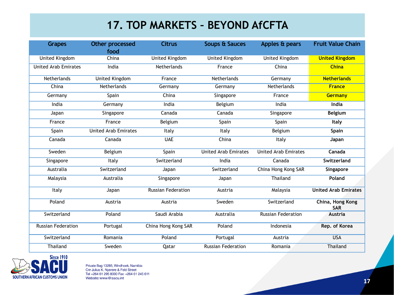#### **17. TOP MARKETS – BEYOND AfCFTA**

| <b>Grapes</b>               | <b>Other processed</b>      | <b>Citrus</b>             | Soups & Sauces              | Apples & pears              | <b>Fruit Value Chain</b>       |
|-----------------------------|-----------------------------|---------------------------|-----------------------------|-----------------------------|--------------------------------|
|                             | food                        |                           |                             |                             |                                |
| United Kingdom              | China                       | <b>United Kingdom</b>     | United Kingdom              | United Kingdom              | <b>United Kingdom</b>          |
| <b>United Arab Emirates</b> | India                       | Netherlands               | France                      | China                       | <b>China</b>                   |
| Netherlands                 | <b>United Kingdom</b>       | France                    | Netherlands                 | Germany                     | <b>Netherlands</b>             |
| China                       | Netherlands                 | Germany                   | Germany                     | Netherlands                 | <b>France</b>                  |
| Germany                     | Spain                       | China                     | Singapore                   | France                      | Germany                        |
| India                       | Germany                     | India                     | Belgium                     | India                       | India                          |
| Japan                       | Singapore                   | Canada                    | Canada                      | Singapore                   | <b>Belgium</b>                 |
| France                      | France                      | Belgium                   | Spain                       | Spain                       | Italy                          |
| Spain                       | <b>United Arab Emirates</b> | Italy                     | Italy                       | Belgium                     | Spain                          |
| Canada                      | Canada                      | <b>UAE</b>                | China                       | Italy                       | Japan                          |
| Sweden                      | Belgium                     | Spain                     | <b>United Arab Emirates</b> | <b>United Arab Emirates</b> | Canada                         |
| Singapore                   | Italy                       | Switzerland               | India                       | Canada                      | Switzerland                    |
| Australia                   | Switzerland                 | Japan                     | Switzerland                 | China Hong Kong SAR         | Singapore                      |
| Malaysia                    | Australia                   | Singapore                 | Japan                       | <b>Thailand</b>             | Poland                         |
| Italy                       | Japan                       | <b>Russian Federation</b> | Austria                     | Malaysia                    | <b>United Arab Emirates</b>    |
| Poland                      | Austria                     | Austria                   | Sweden                      | Switzerland                 | China, Hong Kong<br><b>SAR</b> |
| Switzerland                 | Poland                      | Saudi Arabia              | Australia                   | <b>Russian Federation</b>   | <b>Austria</b>                 |
| <b>Russian Federation</b>   | Portugal                    | China Hong Kong SAR       | Poland                      | Indonesia                   | Rep. of Korea                  |
| Switzerland                 | Romania                     | Poland                    | Portugal                    | Austria                     | <b>USA</b>                     |
| Thailand                    | Sweden                      | Qatar                     | <b>Russian Federation</b>   | Romania                     | Thailand                       |

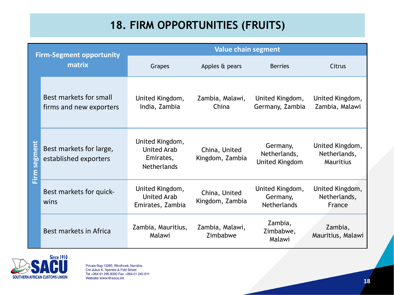# **18. FIRM OPPORTUNITIES (FRUITS)**

| <b>Firm-Segment opportunity</b><br>matrix |                                                   | <b>Value chain segment</b>                                               |                                  |                                                   |                                              |  |
|-------------------------------------------|---------------------------------------------------|--------------------------------------------------------------------------|----------------------------------|---------------------------------------------------|----------------------------------------------|--|
|                                           |                                                   | Grapes                                                                   | Apples & pears                   | <b>Berries</b>                                    | Citrus                                       |  |
|                                           | Best markets for small<br>firms and new exporters | United Kingdom,<br>India, Zambia                                         | Zambia, Malawi,<br>China         | United Kingdom,<br>Germany, Zambia                | United Kingdom,<br>Zambia, Malawi            |  |
| <b>Segment</b><br>Eirm                    | Best markets for large,<br>established exporters  | United Kingdom,<br><b>United Arab</b><br>Emirates,<br><b>Netherlands</b> | China, United<br>Kingdom, Zambia | Germany,<br>Netherlands,<br>United Kingdom        | United Kingdom,<br>Netherlands,<br>Mauritius |  |
|                                           | Best markets for quick-<br>wins                   | United Kingdom,<br><b>United Arab</b><br>Emirates, Zambia                | China, United<br>Kingdom, Zambia | United Kingdom,<br>Germany,<br><b>Netherlands</b> | United Kingdom,<br>Netherlands,<br>France    |  |
|                                           | Best markets in Africa                            | Zambia, Mauritius,<br>Malawi                                             | Zambia, Malawi,<br>Zimbabwe      | Zambia,<br>Zimbabwe,<br>Malawi                    | Zambia,<br>Mauritius, Malawi                 |  |

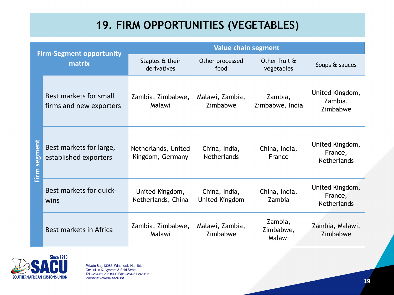#### **19. FIRM OPPORTUNITIES (VEGETABLES)**

| <b>Firm-Segment opportunity</b><br>matrix |                                                   | <b>Value chain segment</b>              |                                     |                                |                                                  |  |
|-------------------------------------------|---------------------------------------------------|-----------------------------------------|-------------------------------------|--------------------------------|--------------------------------------------------|--|
|                                           |                                                   | Staples & their<br>derivatives          | Other processed<br>food             | Other fruit &<br>vegetables    | Soups & sauces                                   |  |
|                                           | Best markets for small<br>firms and new exporters | Zambia, Zimbabwe,<br>Malawi             | Malawi, Zambia,<br>Zimbabwe         | Zambia,<br>Zimbabwe, India     | United Kingdom,<br>Zambia,<br>Zimbabwe           |  |
| Firm segment                              | Best markets for large,<br>established exporters  | Netherlands, United<br>Kingdom, Germany | China, India,<br><b>Netherlands</b> | China, India,<br>France        | United Kingdom,<br>France,<br><b>Netherlands</b> |  |
|                                           | Best markets for quick-<br>wins                   | United Kingdom,<br>Netherlands, China   | China, India,<br>United Kingdom     | China, India,<br>Zambia        | United Kingdom,<br>France,<br><b>Netherlands</b> |  |
|                                           | Best markets in Africa                            | Zambia, Zimbabwe,<br>Malawi             | Malawi, Zambia,<br>Zimbabwe         | Zambia,<br>Zimbabwe,<br>Malawi | Zambia, Malawi,<br>Zimbabwe                      |  |

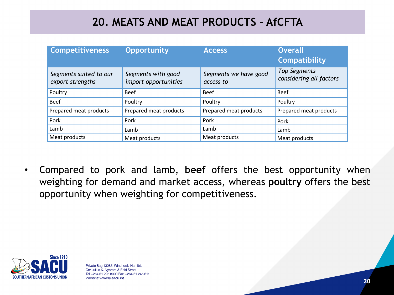#### **20. MEATS AND MEAT PRODUCTS - AfCFTA**

| <b>Competitiveness</b>                     | <b>Opportunity</b>                         | <b>Access</b>                      | <b>Overall</b><br><b>Compatibility</b>         |
|--------------------------------------------|--------------------------------------------|------------------------------------|------------------------------------------------|
| Segments suited to our<br>export strengths | Segments with good<br>import opportunities | Segments we have good<br>access to | <b>Top Segments</b><br>considering all factors |
| Poultry                                    | <b>Beef</b>                                | <b>Beef</b>                        | <b>Beef</b>                                    |
| <b>Beef</b>                                | Poultry                                    | Poultry                            | Poultry                                        |
| Prepared meat products                     | Prepared meat products                     | Prepared meat products             | Prepared meat products                         |
| Pork                                       | Pork                                       | Pork                               | Pork                                           |
| Lamb                                       | Lamb                                       | Lamb                               | Lamb                                           |
| Meat products                              | Meat products                              | Meat products                      | Meat products                                  |

• Compared to pork and lamb, **beef** offers the best opportunity when weighting for demand and market access, whereas **poultry** offers the best opportunity when weighting for competitiveness.

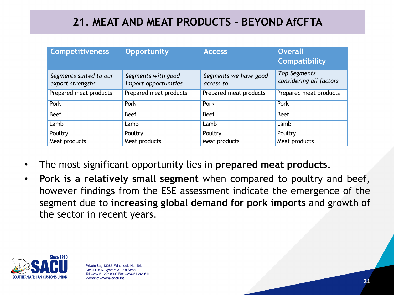#### **21. MEAT AND MEAT PRODUCTS – BEYOND AfCFTA**

| <b>Competitiveness</b>                     | <b>Opportunity</b>                         | <b>Access</b>                      | <b>Overall</b><br><b>Compatibility</b>         |
|--------------------------------------------|--------------------------------------------|------------------------------------|------------------------------------------------|
| Segments suited to our<br>export strengths | Segments with good<br>import opportunities | Segments we have good<br>access to | <b>Top Segments</b><br>considering all factors |
| Prepared meat products                     | Prepared meat products                     | Prepared meat products             | Prepared meat products                         |
| Pork                                       | Pork                                       | Pork                               | Pork                                           |
| <b>Beef</b>                                | <b>Beef</b>                                | <b>Beef</b>                        | <b>Beef</b>                                    |
| Lamb                                       | Lamb                                       | Lamb                               | Lamb                                           |
| Poultry                                    | Poultry                                    | Poultry                            | Poultry                                        |
| Meat products                              | Meat products                              | Meat products                      | Meat products                                  |

- The most significant opportunity lies in **prepared meat products**.
- **Pork is a relatively small segment** when compared to poultry and beef, however findings from the ESE assessment indicate the emergence of the segment due to **increasing global demand for pork imports** and growth of the sector in recent years.

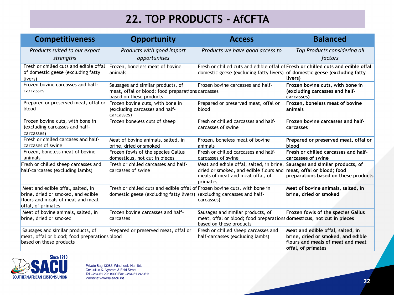# **22. TOP PRODUCTS - AfCFTA**

| <b>Competitiveness</b>                                                                                                             | <b>Opportunity</b>                                                                                                                                   | <b>Access</b>                                                                                                                                                        | <b>Balanced</b>                                                                                                                    |
|------------------------------------------------------------------------------------------------------------------------------------|------------------------------------------------------------------------------------------------------------------------------------------------------|----------------------------------------------------------------------------------------------------------------------------------------------------------------------|------------------------------------------------------------------------------------------------------------------------------------|
| Products suited to our export<br>strengths                                                                                         | Products with good import<br>opportunities                                                                                                           | Products we have good access to                                                                                                                                      | Top Products considering all<br>factors                                                                                            |
| Fresh or chilled cuts and edible offal<br>of domestic geese (excluding fatty<br>livers)                                            | Frozen, boneless meat of bovine<br>animals                                                                                                           | Fresh or chilled cuts and edible offal of Fresh or chilled cuts and edible offal<br>domestic geese (excluding fatty livers) of domestic geese (excluding fatty       | livers)                                                                                                                            |
| Frozen bovine carcasses and half-<br>carcasses                                                                                     | Sausages and similar products, of<br>meat, offal or blood; food preparations carcasses<br>based on these products                                    | Frozen bovine carcasses and half-                                                                                                                                    | Frozen bovine cuts, with bone in<br>(excluding carcasses and half-<br>carcasses)                                                   |
| Prepared or preserved meat, offal or<br>blood                                                                                      | Frozen bovine cuts, with bone in<br>(excluding carcasses and half-<br>carcasses)                                                                     | Prepared or preserved meat, offal or<br>blood                                                                                                                        | Frozen, boneless meat of bovine<br>animals                                                                                         |
| Frozen bovine cuts, with bone in<br>(excluding carcasses and half-<br>carcasses)                                                   | Frozen boneless cuts of sheep                                                                                                                        | Fresh or chilled carcasses and half-<br>carcasses of swine                                                                                                           | Frozen bovine carcasses and half-<br>carcasses                                                                                     |
| Fresh or chilled carcases and half-<br>carcases of swine                                                                           | Meat of bovine animals, salted, in<br>brine, dried or smoked                                                                                         | Frozen, boneless meat of bovine<br>animals                                                                                                                           | Prepared or preserved meat, offal or<br>blood                                                                                      |
| Frozen, boneless meat of bovine<br>animals                                                                                         | Frozen fowls of the species Gallus<br>domesticus, not cut in pieces                                                                                  | Fresh or chilled carcasses and half-<br>carcasses of swine                                                                                                           | Fresh or chilled carcasses and half-<br>carcasses of swine                                                                         |
| Fresh or chilled sheep carcasses and<br>half-carcasses (excluding lambs)                                                           | Fresh or chilled carcasses and half-<br>carcasses of swine                                                                                           | Meat and edible offal, salted, in brine, Sausages and similar products, of<br>dried or smoked, and edible flours and<br>meals of meat and meat offal, of<br>primates | meat, offal or blood; food<br>preparations based on these products                                                                 |
| Meat and edible offal, salted, in<br>brine, dried or smoked, and edible<br>flours and meals of meat and meat<br>offal, of primates | Fresh or chilled cuts and edible offal of Frozen bovine cuts, with bone in<br>domestic geese (excluding fatty livers) (excluding carcasses and half- | carcasses)                                                                                                                                                           | Meat of bovine animals, salted, in<br>brine, dried or smoked                                                                       |
| Meat of bovine animals, salted, in<br>brine, dried or smoked                                                                       | Frozen bovine carcasses and half-<br>carcasses                                                                                                       | Sausages and similar products, of<br>meat, offal or blood; food preparations domesticus, not cut in pieces<br>based on these products                                | Frozen fowls of the species Gallus                                                                                                 |
| Sausages and similar products, of<br>meat, offal or blood; food preparations blood<br>based on these products                      | Prepared or preserved meat, offal or                                                                                                                 | Fresh or chilled sheep carcasses and<br>half-carcasses (excluding lambs)                                                                                             | Meat and edible offal, salted, in<br>brine, dried or smoked, and edible<br>flours and meals of meat and meat<br>offal, of primates |

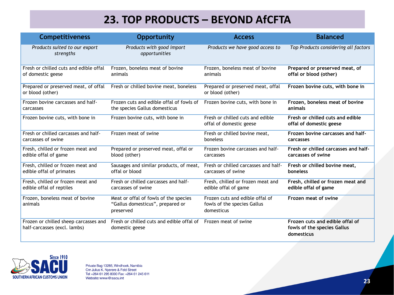#### **23. TOP PRODUCTS – BEYOND AfCFTA**

| <b>Competitiveness</b>                                                | <b>Opportunity</b>                                                                     | <b>Access</b>                                                                | <b>Balanced</b>                                                              |
|-----------------------------------------------------------------------|----------------------------------------------------------------------------------------|------------------------------------------------------------------------------|------------------------------------------------------------------------------|
| Products suited to our export<br>strengths                            | Products with good import<br>opportunities                                             | Products we have good access to                                              | Top Products considering all factors                                         |
| Fresh or chilled cuts and edible offal                                | Frozen, boneless meat of bovine                                                        | Frozen, boneless meat of bovine                                              | Prepared or preserved meat, of                                               |
| of domestic geese                                                     | animals                                                                                | animals                                                                      | offal or blood (other)                                                       |
| Prepared or preserved meat, of offal<br>or blood (other)              | Fresh or chilled bovine meat, boneless                                                 | Prepared or preserved meat, offal<br>or blood (other)                        | Frozen bovine cuts, with bone in                                             |
| Frozen bovine carcasses and half-                                     | Frozen cuts and edible offal of fowls of                                               | Frozen bovine cuts, with bone in                                             | Frozen, boneless meat of bovine                                              |
| carcasses                                                             | the species Gallus domesticus                                                          |                                                                              | animals                                                                      |
| Frozen bovine cuts, with bone in                                      | Frozen bovine cuts, with bone in                                                       | Fresh or chilled cuts and edible<br>offal of domestic geese                  | Fresh or chilled cuts and edible<br>offal of domestic geese                  |
| Fresh or chilled carcasses and half-                                  | Frozen meat of swine                                                                   | Fresh or chilled bovine meat,                                                | Frozen bovine carcasses and half-                                            |
| carcasses of swine                                                    |                                                                                        | boneless                                                                     | carcasses                                                                    |
| Fresh, chilled or frozen meat and                                     | Prepared or preserved meat, offal or                                                   | Frozen bovine carcasses and half-                                            | Fresh or chilled carcasses and half-                                         |
| edible offal of game                                                  | blood (other)                                                                          | carcasses                                                                    | carcasses of swine                                                           |
| Fresh, chilled or frozen meat and                                     | Sausages and similar products, of meat,                                                | Fresh or chilled carcasses and half-                                         | Fresh or chilled bovine meat,                                                |
| edible offal of primates                                              | offal or blood                                                                         | carcasses of swine                                                           | boneless                                                                     |
| Fresh, chilled or frozen meat and                                     | Fresh or chilled carcasses and half-                                                   | Fresh, chilled or frozen meat and                                            | Fresh, chilled or frozen meat and                                            |
| edible offal of reptiles                                              | carcasses of swine                                                                     | edible offal of game                                                         | edible offal of game                                                         |
| Frozen, boneless meat of bovine<br>animals                            | Meat or offal of fowls of the species<br>"Gallus domesticus", prepared or<br>preserved | Frozen cuts and edible offal of<br>fowls of the species Gallus<br>domesticus | Frozen meat of swine                                                         |
| Frozen or chilled sheep carcasses and<br>half-carcasses (excl. lambs) | Fresh or chilled cuts and edible offal of<br>domestic geese                            | Frozen meat of swine                                                         | Frozen cuts and edible offal of<br>fowls of the species Gallus<br>domesticus |

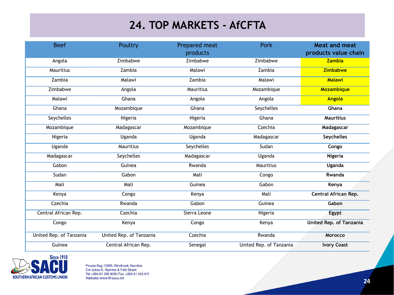#### **24. TOP MARKETS - AfCFTA**

| <b>Beef</b>             | Poultry                 | Prepared meat<br>products | <b>Pork</b>             | <b>Meat and meat</b><br>products value chain |
|-------------------------|-------------------------|---------------------------|-------------------------|----------------------------------------------|
|                         |                         |                           |                         |                                              |
| Angola                  | Zimbabwe                | Zimbabwe                  | Zimbabwe                | <b>Zambia</b>                                |
| Mauritius               | Zambia                  | Malawi                    | Zambia                  | <b>Zimbabwe</b>                              |
| Zambia                  | Malawi                  | Zambia                    | Malawi                  | <b>Malawi</b>                                |
| Zimbabwe                | Angola                  | Mauritius                 | Mozambique              | Mozambique                                   |
| Malawi                  | Ghana                   | Angola                    | Angola                  | <b>Angola</b>                                |
| Ghana                   | Mozambique              | Ghana                     | Seychelles              | Ghana                                        |
| Seychelles              | Nigeria                 | Nigeria                   | Ghana                   | <b>Mauritius</b>                             |
| Mozambique              | Madagascar              | Mozambique                | Czechia                 | Madagascar                                   |
| Nigeria                 | Uganda                  | Uganda                    | Madagascar              | <b>Seychelles</b>                            |
| Uganda                  | Mauritius               | Seychelles                | Sudan                   | Congo                                        |
| Madagascar              | Seychelles              | Madagascar                | Uganda                  | Nigeria                                      |
| Gabon                   | Guinea                  | Rwanda                    | Mauritius               | Uganda                                       |
| Sudan                   | Gabon                   | Mali                      | Congo                   | Rwanda                                       |
| Mali                    | Mali                    | Guinea                    | Gabon                   | Kenya                                        |
| Kenya                   | Congo                   | Kenya                     | Mali                    | Central African Rep.                         |
| Czechia                 | Rwanda                  | Gabon                     | Guinea                  | Gabon                                        |
| Central African Rep.    | Czechia                 | Sierra Leone              | Nigeria                 | Egypt                                        |
| Congo                   | Kenya                   | Congo                     | Kenya                   | United Rep. of Tanzania                      |
| United Rep. of Tanzania | United Rep. of Tanzania | Czechia                   | Rwanda                  | Morocco                                      |
| Guinea                  | Central African Rep.    | Senegal                   | United Rep. of Tanzania | <b>Ivory Coast</b>                           |

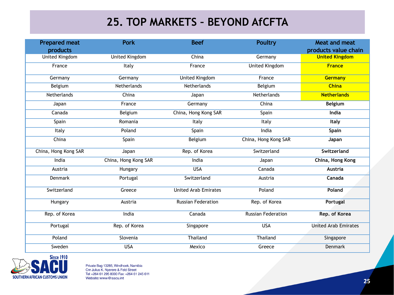#### **25. TOP MARKETS – BEYOND AfCFTA**

| <b>Prepared meat</b> | <b>Pork</b>           | <b>Beef</b>                 | <b>Poultry</b>            | Meat and meat               |
|----------------------|-----------------------|-----------------------------|---------------------------|-----------------------------|
| products             |                       |                             |                           | products value chain        |
| United Kingdom       | <b>United Kingdom</b> | China                       | Germany                   | <b>United Kingdom</b>       |
| France               | Italy                 | France                      | <b>United Kingdom</b>     | <b>France</b>               |
| Germany              | Germany               | <b>United Kingdom</b>       | France                    | Germany                     |
| Belgium              | Netherlands           | Netherlands                 | Belgium                   | <b>China</b>                |
| Netherlands          | China                 | Japan                       | Netherlands               | <b>Netherlands</b>          |
| Japan                | France                | Germany                     | China                     | <b>Belgium</b>              |
| Canada               | Belgium               | China, Hong Kong SAR        | Spain                     | India                       |
| Spain                | Romania               | Italy                       | Italy                     | Italy                       |
| Italy                | Poland                | Spain                       | India                     | <b>Spain</b>                |
| China                | Spain                 | Belgium                     | China, Hong Kong SAR      | Japan                       |
| China, Hong Kong SAR | Japan                 | Rep. of Korea               | Switzerland               | Switzerland                 |
| India                | China, Hong Kong SAR  | India                       | Japan                     | China, Hong Kong            |
| Austria              | Hungary               | <b>USA</b>                  | Canada                    | Austria                     |
| Denmark              | Portugal              | Switzerland                 | Austria                   | Canada                      |
| Switzerland          | Greece                | <b>United Arab Emirates</b> | Poland                    | Poland                      |
| Hungary              | Austria               | <b>Russian Federation</b>   | Rep. of Korea             | Portugal                    |
| Rep. of Korea        | India                 | Canada                      | <b>Russian Federation</b> | Rep. of Korea               |
| Portugal             | Rep. of Korea         | Singapore                   | <b>USA</b>                | <b>United Arab Emirates</b> |
| Poland               | Slovenia              | Thailand                    | Thailand                  | Singapore                   |
| Sweden               | <b>USA</b>            | Mexico                      | Greece                    | Denmark                     |

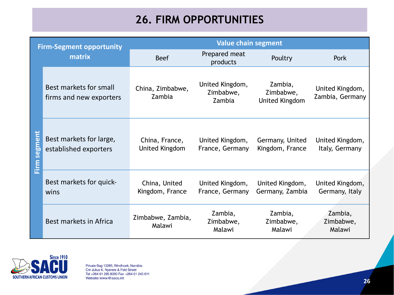# **26. FIRM OPPORTUNITIES**

| <b>Firm-Segment opportunity</b><br>matrix |                                                   | <b>Value chain segment</b>       |                                        |                                               |                                    |  |
|-------------------------------------------|---------------------------------------------------|----------------------------------|----------------------------------------|-----------------------------------------------|------------------------------------|--|
|                                           |                                                   | <b>Beef</b>                      | Prepared meat<br>products              | Poultry                                       | Pork                               |  |
|                                           | Best markets for small<br>firms and new exporters | China, Zimbabwe,<br>Zambia       | United Kingdom,<br>Zimbabwe,<br>Zambia | Zambia,<br>Zimbabwe,<br><b>United Kingdom</b> | United Kingdom,<br>Zambia, Germany |  |
| <u>Firm segment</u>                       | Best markets for large,<br>established exporters  | China, France,<br>United Kingdom | United Kingdom,<br>France, Germany     | Germany, United<br>Kingdom, France            | United Kingdom,<br>Italy, Germany  |  |
|                                           | Best markets for quick-<br>wins                   | China, United<br>Kingdom, France | United Kingdom,<br>France, Germany     | United Kingdom,<br>Germany, Zambia            | United Kingdom,<br>Germany, Italy  |  |
|                                           | Best markets in Africa                            | Zimbabwe, Zambia,<br>Malawi      | Zambia,<br>Zimbabwe,<br>Malawi         | Zambia,<br>Zimbabwe,<br>Malawi                | Zambia,<br>Zimbabwe,<br>Malawi     |  |

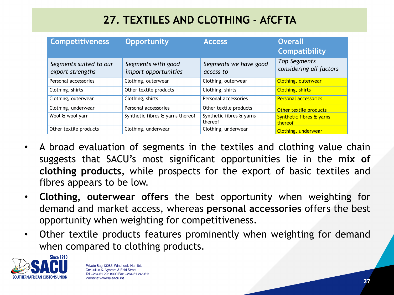# **27. TEXTILES AND CLOTHING - AfCFTA**

| <b>Competitiveness</b>                     | <b>Opportunity</b>                         | <b>Access</b>                       | <b>Overall</b><br><b>Compatibility</b>         |
|--------------------------------------------|--------------------------------------------|-------------------------------------|------------------------------------------------|
| Segments suited to our<br>export strengths | Segments with good<br>import opportunities | Segments we have good<br>access to  | <b>Top Segments</b><br>considering all factors |
| Personal accessories                       | Clothing, outerwear                        | Clothing, outerwear                 | <b>Clothing, outerwear</b>                     |
| Clothing, shirts                           | Other textile products                     | Clothing, shirts                    | <b>Clothing, shirts</b>                        |
| Clothing, outerwear                        | Clothing, shirts                           | Personal accessories                | <b>Personal accessories</b>                    |
| Clothing, underwear                        | Personal accessories                       | Other textile products              | Other textile products                         |
| Wool & wool yarn                           | Synthetic fibres & yarns thereof           | Synthetic fibres & yarns<br>thereof | Synthetic fibres & yarns<br>thereof            |
| Other textile products                     | Clothing, underwear                        | Clothing, underwear                 | Clothing, underwear                            |

- A broad evaluation of segments in the textiles and clothing value chain suggests that SACU's most significant opportunities lie in the **mix of clothing products**, while prospects for the export of basic textiles and fibres appears to be low.
- **Clothing, outerwear offers** the best opportunity when weighting for demand and market access, whereas **personal accessories** offers the best opportunity when weighting for competitiveness.
- Other textile products features prominently when weighting for demand when compared to clothing products.

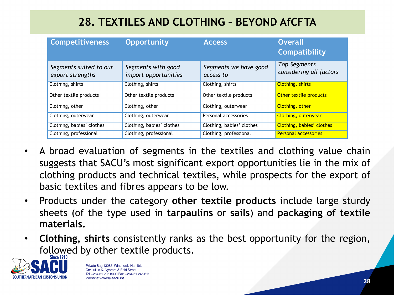# **28. TEXTILES AND CLOTHING – BEYOND AfCFTA**

| <b>Competitiveness</b>                     | <b>Opportunity</b>                         | <b>Access</b>                      | <b>Overall</b><br><b>Compatibility</b>         |
|--------------------------------------------|--------------------------------------------|------------------------------------|------------------------------------------------|
| Segments suited to our<br>export strengths | Segments with good<br>import opportunities | Segments we have good<br>access to | <b>Top Segments</b><br>considering all factors |
| Clothing, shirts                           | Clothing, shirts                           | Clothing, shirts                   | <b>Clothing, shirts</b>                        |
| Other textile products                     | Other textile products                     | Other textile products             | Other textile products                         |
| Clothing, other                            | Clothing, other                            | Clothing, outerwear                | Clothing, other                                |
| Clothing, outerwear                        | Clothing, outerwear                        | Personal accessories               | <b>Clothing, outerwear</b>                     |
| Clothing, babies' clothes                  | Clothing, babies' clothes                  | Clothing, babies' clothes          | Clothing, babies' clothes                      |
| Clothing, professional                     | Clothing, professional                     | Clothing, professional             | <b>Personal accessories</b>                    |

- A broad evaluation of segments in the textiles and clothing value chain suggests that SACU's most significant export opportunities lie in the mix of clothing products and technical textiles, while prospects for the export of basic textiles and fibres appears to be low.
- Products under the category **other textile products** include large sturdy sheets (of the type used in **tarpaulins** or **sails**) and **packaging of textile materials.**
- **Clothing, shirts** consistently ranks as the best opportunity for the region, followed by other textile products.

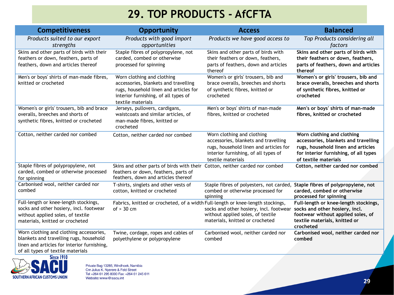#### **29. TOP PRODUCTS - AfCFTA**

| <b>Competitiveness</b>                                                                                                                                                  | <b>Opportunity</b>                                                                                                                                                        | <b>Access</b>                                                                                                                                                             | <b>Balanced</b>                                                                                                                                                           |
|-------------------------------------------------------------------------------------------------------------------------------------------------------------------------|---------------------------------------------------------------------------------------------------------------------------------------------------------------------------|---------------------------------------------------------------------------------------------------------------------------------------------------------------------------|---------------------------------------------------------------------------------------------------------------------------------------------------------------------------|
| Products suited to our export<br>strengths                                                                                                                              | Products with good import<br>opportunities                                                                                                                                | Products we have good access to                                                                                                                                           | Top Products considering all<br>factors                                                                                                                                   |
| Skins and other parts of birds with their<br>feathers or down, feathers, parts of<br>feathers, down and articles thereof                                                | Staple fibres of polypropylene, not<br>carded, combed or otherwise<br>processed for spinning                                                                              | Skins and other parts of birds with<br>their feathers or down, feathers,<br>parts of feathers, down and articles<br>thereof                                               | Skins and other parts of birds with<br>their feathers or down, feathers,<br>parts of feathers, down and articles<br>thereof                                               |
| Men's or boys' shirts of man-made fibres,<br>knitted or crocheted                                                                                                       | Worn clothing and clothing<br>accessories, blankets and travelling<br>rugs, household linen and articles for<br>interior furnishing, of all types of<br>textile materials | Women's or girls' trousers, bib and<br>brace overalls, breeches and shorts<br>of synthetic fibres, knitted or<br>crocheted                                                | Women's or girls' trousers, bib and<br>brace overalls, breeches and shorts<br>of synthetic fibres, knitted or<br>crocheted                                                |
| Women's or girls' trousers, bib and brace<br>overalls, breeches and shorts of<br>synthetic fibres, knitted or crocheted                                                 | Jerseys, pullovers, cardigans,<br>waistcoats and similar articles, of<br>man-made fibres, knitted or<br>crocheted                                                         | Men's or boys' shirts of man-made<br>fibres, knitted or crocheted                                                                                                         | Men's or boys' shirts of man-made<br>fibres, knitted or crocheted                                                                                                         |
| Cotton, neither carded nor combed                                                                                                                                       | Cotton, neither carded nor combed                                                                                                                                         | Worn clothing and clothing<br>accessories, blankets and travelling<br>rugs, household linen and articles for<br>interior furnishing, of all types of<br>textile materials | Worn clothing and clothing<br>accessories, blankets and travelling<br>rugs, household linen and articles<br>for interior furnishing, of all types<br>of textile materials |
| Staple fibres of polypropylene, not<br>carded, combed or otherwise processed<br>for spinning                                                                            | Skins and other parts of birds with their<br>feathers or down, feathers, parts of<br>feathers, down and articles thereof                                                  | Cotton, neither carded nor combed                                                                                                                                         | Cotton, neither carded nor combed                                                                                                                                         |
| Carbonised wool, neither carded nor<br>combed                                                                                                                           | T-shirts, singlets and other vests of<br>cotton, knitted or crocheted                                                                                                     | Staple fibres of polyesters, not carded,<br>combed or otherwise processed for<br>spinning                                                                                 | Staple fibres of polypropylene, not<br>carded, combed or otherwise<br>processed for spinning                                                                              |
| Full-length or knee-length stockings,<br>socks and other hosiery, incl. footwear<br>without applied soles, of textile<br>materials, knitted or crocheted                | Fabrics, knitted or crocheted, of a width Full-length or knee-length stockings,<br>of $> 30$ cm                                                                           | socks and other hosiery, incl. footwear<br>without applied soles, of textile<br>materials, knitted or crocheted                                                           | Full-length or knee-length stockings,<br>socks and other hosiery, incl.<br>footwear without applied soles, of<br>textile materials, knitted or<br>crocheted               |
| Worn clothing and clothing accessories,<br>blankets and travelling rugs, household<br>linen and articles for interior furnishing,<br>of all types of textile materials. | Twine, cordage, ropes and cables of<br>polyethylene or polypropylene                                                                                                      | Carbonised wool, neither carded nor<br>combed                                                                                                                             | Carbonised wool, neither carded nor<br>combed                                                                                                                             |

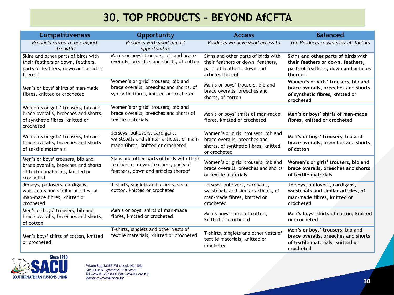#### **30. TOP PRODUCTS – BEYOND AfCFTA**

| <b>Competitiveness</b>                                                                                                      | <b>Opportunity</b>                                                                                                       | <b>Access</b>                                                                                                               | <b>Balanced</b>                                                                                                             |
|-----------------------------------------------------------------------------------------------------------------------------|--------------------------------------------------------------------------------------------------------------------------|-----------------------------------------------------------------------------------------------------------------------------|-----------------------------------------------------------------------------------------------------------------------------|
| Products suited to our export<br>strengths                                                                                  | Products with good import<br>opportunities                                                                               | Products we have good access to                                                                                             | Top Products considering all factors                                                                                        |
| Skins and other parts of birds with<br>their feathers or down, feathers,<br>parts of feathers, down and articles<br>thereof | Men's or boys' trousers, bib and brace<br>overalls, breeches and shorts, of cotton                                       | Skins and other parts of birds with<br>their feathers or down, feathers,<br>parts of feathers, down and<br>articles thereof | Skins and other parts of birds with<br>their feathers or down, feathers,<br>parts of feathers, down and articles<br>thereof |
| Men's or boys' shirts of man-made<br>fibres, knitted or crocheted                                                           | Women's or girls' trousers, bib and<br>brace overalls, breeches and shorts, of<br>synthetic fibres, knitted or crocheted | Men's or boys' trousers, bib and<br>brace overalls, breeches and<br>shorts, of cotton                                       | Women's or girls' trousers, bib and<br>brace overalls, breeches and shorts,<br>of synthetic fibres, knitted or<br>crocheted |
| Women's or girls' trousers, bib and<br>brace overalls, breeches and shorts,<br>of synthetic fibres, knitted or<br>crocheted | Women's or girls' trousers, bib and<br>brace overalls, breeches and shorts of<br>textile materials                       | Men's or boys' shirts of man-made<br>fibres, knitted or crocheted                                                           | Men's or boys' shirts of man-made<br>fibres, knitted or crocheted                                                           |
| Women's or girls' trousers, bib and<br>brace overalls, breeches and shorts<br>of textile materials                          | Jerseys, pullovers, cardigans,<br>waistcoats and similar articles, of man-<br>made fibres, knitted or crocheted          | Women's or girls' trousers, bib and<br>brace overalls, breeches and<br>shorts, of synthetic fibres, knitted<br>or crocheted | Men's or boys' trousers, bib and<br>brace overalls, breeches and shorts,<br>of cotton                                       |
| Men's or boys' trousers, bib and<br>brace overalls, breeches and shorts<br>of textile materials, knitted or<br>crocheted    | Skins and other parts of birds with their<br>feathers or down, feathers, parts of<br>feathers, down and articles thereof | Women's or girls' trousers, bib and<br>brace overalls, breeches and shorts<br>of textile materials                          | Women's or girls' trousers, bib and<br>brace overalls, breeches and shorts<br>of textile materials                          |
| Jerseys, pullovers, cardigans,<br>waistcoats and similar articles, of<br>man-made fibres, knitted or<br>crocheted           | T-shirts, singlets and other vests of<br>cotton, knitted or crocheted                                                    | Jerseys, pullovers, cardigans,<br>waistcoats and similar articles, of<br>man-made fibres, knitted or<br>crocheted           | Jerseys, pullovers, cardigans,<br>waistcoats and similar articles, of<br>man-made fibres, knitted or<br>crocheted           |
| Men's or boys' trousers, bib and<br>brace overalls, breeches and shorts,<br>of cotton                                       | Men's or boys' shirts of man-made<br>fibres, knitted or crocheted                                                        | Men's boys' shirts of cotton,<br>knitted or crocheted                                                                       | Men's boys' shirts of cotton, knitted<br>or crocheted                                                                       |
| Men's boys' shirts of cotton, knitted<br>or crocheted                                                                       | T-shirts, singlets and other vests of<br>textile materials, knitted or crocheted                                         | T-shirts, singlets and other vests of<br>textile materials, knitted or<br>crocheted                                         | Men's or boys' trousers, bib and<br>brace overalls, breeches and shorts<br>of textile materials, knitted or<br>crocheted    |

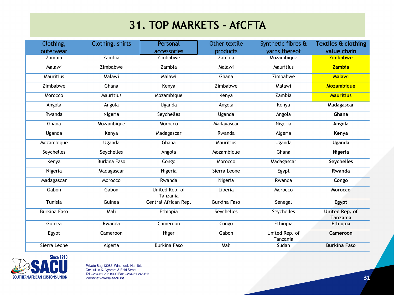#### **31. TOP MARKETS - AfCFTA**

| Clothing,           | Clothing, shirts    | Personal                   | Other textile       | Synthetic fibres &         | Textiles & clothing                      |
|---------------------|---------------------|----------------------------|---------------------|----------------------------|------------------------------------------|
| outerwear           |                     | accessories                | products            | varns thereof              | value chain                              |
| Zambia              | Zambia              | Zimbabwe                   | Zambia              | Mozambique                 | <b>Zimbabwe</b>                          |
| Malawi              | Zimbabwe            | Zambia                     | Malawi              | Mauritius                  | Zambia                                   |
| Mauritius           | Malawi              | Malawi                     | Ghana               | Zimbabwe                   | <b>Malawi</b>                            |
| Zimbabwe            | Ghana               | Kenya                      | Zimbabwe            | Malawi                     | Mozambique                               |
| Morocco             | Mauritius           | Mozambique                 | Kenya               | Zambia                     | <b>Mauritius</b>                         |
| Angola              | Angola              | Uganda                     | Angola              | Kenya                      | Madagascar                               |
| Rwanda              | Nigeria             | Seychelles                 | Uganda              | Angola                     | Ghana                                    |
| Ghana               | Mozambique          | Morocco                    | Madagascar          | Nigeria                    | Angola                                   |
| Uganda              | Kenya               | Madagascar                 | Rwanda              | Algeria                    | Kenya                                    |
| Mozambique          | Uganda              | Ghana                      | Mauritius           | Uganda                     | Uganda                                   |
| Seychelles          | <b>Seychelles</b>   | Angola                     | Mozambique          | Ghana                      | Nigeria                                  |
| Kenya               | <b>Burkina Faso</b> | Congo                      | Morocco             | Madagascar                 | <b>Seychelles</b>                        |
| Nigeria             | Madagascar          | Nigeria                    | Sierra Leone        | Egypt                      | Rwanda                                   |
| Madagascar          | Morocco             | Rwanda                     | Nigeria             | Rwanda                     | Congo                                    |
| Gabon               | Gabon               | United Rep. of<br>Tanzania | Liberia             | Morocco                    | <b>Morocco</b>                           |
| Tunisia             | Guinea              | Central African Rep.       | <b>Burkina Faso</b> | Senegal                    | Egypt                                    |
| <b>Burkina Faso</b> | Mali                | Ethiopia                   | Seychelles          | Seychelles                 | <b>United Rep. of</b><br><b>Tanzania</b> |
| Guinea              | Rwanda              | Cameroon                   | Congo               | Ethiopia                   | <b>Ethiopia</b>                          |
| Egypt               | Cameroon            | Niger                      | Gabon               | United Rep. of<br>Tanzania | Cameroon                                 |
| Sierra Leone        | Algeria             | <b>Burkina Faso</b>        | Mali                | Sudan                      | <b>Burkina Faso</b>                      |

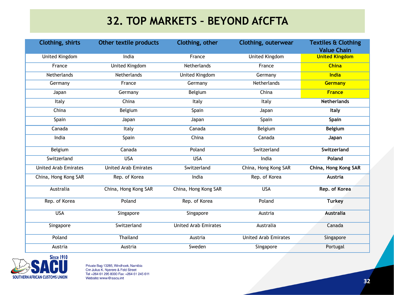#### **32. TOP MARKETS – BEYOND AfCFTA**

| Clothing, shirts            | Other textile products      | Clothing, other             | Clothing, outerwear         | <b>Textiles &amp; Clothing</b><br><b>Value Chain</b> |
|-----------------------------|-----------------------------|-----------------------------|-----------------------------|------------------------------------------------------|
| <b>United Kingdom</b>       | India                       | France                      | <b>United Kingdom</b>       | <b>United Kingdom</b>                                |
| France                      | <b>United Kingdom</b>       | Netherlands                 | France                      | <b>China</b>                                         |
| Netherlands                 | Netherlands                 | United Kingdom              | Germany                     | India                                                |
| Germany                     | France                      | Germany                     | <b>Netherlands</b>          | Germany                                              |
| Japan                       | Germany                     | Belgium                     | China                       | <b>France</b>                                        |
| Italy                       | China                       | Italy                       | Italy                       | <b>Netherlands</b>                                   |
| China                       | Belgium                     | Spain                       | Japan                       | Italy                                                |
| Spain                       | Japan                       | Japan                       | Spain                       | Spain                                                |
| Canada                      | Italy                       | Canada                      | Belgium                     | <b>Belgium</b>                                       |
| India                       | Spain                       | China                       | Canada                      | Japan                                                |
| Belgium                     | Canada                      | Poland                      | Switzerland                 | Switzerland                                          |
| Switzerland                 | <b>USA</b>                  | <b>USA</b>                  | India                       | Poland                                               |
| <b>United Arab Emirates</b> | <b>United Arab Emirates</b> | Switzerland                 | China, Hong Kong SAR        | China, Hong Kong SAR                                 |
| China, Hong Kong SAR        | Rep. of Korea               | India                       | Rep. of Korea               | <b>Austria</b>                                       |
| Australia                   | China, Hong Kong SAR        | China, Hong Kong SAR        | <b>USA</b>                  | Rep. of Korea                                        |
| Rep. of Korea               | Poland                      | Rep. of Korea               | Poland                      | Turkey                                               |
| <b>USA</b>                  | Singapore                   | Singapore                   | Austria                     | <b>Australia</b>                                     |
| Singapore                   | Switzerland                 | <b>United Arab Emirates</b> | Australia                   | Canada                                               |
| Poland                      | Thailand                    | Austria                     | <b>United Arab Emirates</b> | Singapore                                            |
| Austria                     | Austria                     | Sweden                      | Singapore                   | Portugal                                             |

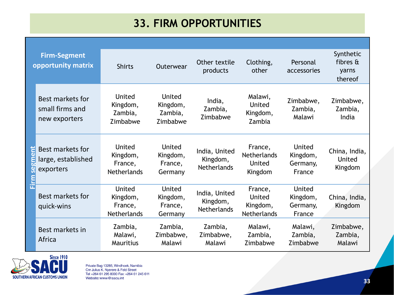#### **33. FIRM OPPORTUNITIES**

|                     | <b>Firm-Segment</b><br>opportunity matrix            | <b>Shirts</b>                                       | Outerwear                                 | Other textile<br>products                       | Clothing,<br>other                                        | Personal<br>accessories                  | Synthetic<br>fibres $\mathbf{\hat{a}}$<br>yarns<br>thereof |
|---------------------|------------------------------------------------------|-----------------------------------------------------|-------------------------------------------|-------------------------------------------------|-----------------------------------------------------------|------------------------------------------|------------------------------------------------------------|
|                     | Best markets for<br>small firms and<br>new exporters | United<br>Kingdom,<br>Zambia,<br>Zimbabwe           | United<br>Kingdom,<br>Zambia,<br>Zimbabwe | India,<br>Zambia,<br>Zimbabwe                   | Malawi,<br>United<br>Kingdom,<br>Zambia                   | Zimbabwe,<br>Zambia,<br>Malawi           | Zimbabwe,<br>Zambia,<br>India                              |
| gmen<br>ဖွဲ<br>Firm | Best markets for<br>large, established<br>exporters  | United<br>Kingdom,<br>France,<br><b>Netherlands</b> | United<br>Kingdom,<br>France,<br>Germany  | India, United<br>Kingdom,<br><b>Netherlands</b> | France,<br><b>Netherlands</b><br><b>United</b><br>Kingdom | United<br>Kingdom,<br>Germany,<br>France | China, India,<br>United<br>Kingdom                         |
|                     | Best markets for<br>quick-wins                       | United<br>Kingdom,<br>France,<br><b>Netherlands</b> | United<br>Kingdom,<br>France,<br>Germany  | India, United<br>Kingdom,<br><b>Netherlands</b> | France,<br>United<br>Kingdom,<br><b>Netherlands</b>       | United<br>Kingdom,<br>Germany,<br>France | China, India,<br>Kingdom                                   |
|                     | Best markets in<br>Africa                            | Zambia,<br>Malawi,<br><b>Mauritius</b>              | Zambia,<br>Zimbabwe,<br>Malawi            | Zambia,<br>Zimbabwe,<br>Malawi                  | Malawi,<br>Zambia,<br>Zimbabwe                            | Malawi,<br>Zambia,<br>Zimbabwe           | Zimbabwe,<br>Zambia,<br>Malawi                             |

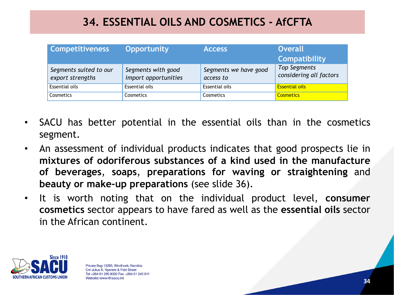#### **34. ESSENTIAL OILS AND COSMETICS - AfCFTA**

| <b>Competitiveness</b>                     | <b>Opportunity</b>                         | <b>Access</b>                      | <b>Overall</b><br><b>Compatibility</b>  |
|--------------------------------------------|--------------------------------------------|------------------------------------|-----------------------------------------|
| Segments suited to our<br>export strengths | Segments with good<br>import opportunities | Segments we have good<br>access to | Top Segments<br>considering all factors |
| <b>Essential oils</b>                      | Essential oils                             | <b>Essential oils</b>              | <b>Essential oils</b>                   |
| Cosmetics                                  | Cosmetics                                  | Cosmetics                          | <b>Cosmetics</b>                        |

- SACU has better potential in the essential oils than in the cosmetics segment.
- An assessment of individual products indicates that good prospects lie in **mixtures of odoriferous substances of a kind used in the manufacture of beverages**, **soaps**, **preparations for waving or straightening** and **beauty or make-up preparations** (see slide 36).
- It is worth noting that on the individual product level, **consumer cosmetics** sector appears to have fared as well as the **essential oils** sector in the African continent.

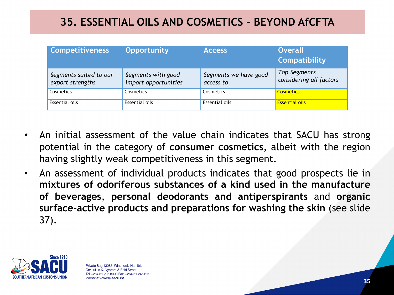#### **35. ESSENTIAL OILS AND COSMETICS – BEYOND AfCFTA**

| <b>Competitiveness</b>                     | <b>Opportunity</b>                         | <b>Access</b>                      | <b>Overall</b><br>Compatibility         |
|--------------------------------------------|--------------------------------------------|------------------------------------|-----------------------------------------|
| Segments suited to our<br>export strengths | Segments with good<br>import opportunities | Segments we have good<br>access to | Top Segments<br>considering all factors |
| Cosmetics                                  | Cosmetics                                  | Cosmetics                          | <b>Cosmetics</b>                        |
| Essential oils                             | Essential oils                             | Essential oils                     | <b>Essential oils</b>                   |

- An initial assessment of the value chain indicates that SACU has strong potential in the category of **consumer cosmetics**, albeit with the region having slightly weak competitiveness in this segment.
- An assessment of individual products indicates that good prospects lie in **mixtures of odoriferous substances of a kind used in the manufacture of beverages**, **personal deodorants and antiperspirants** and **organic surface-active products and preparations for washing the skin** (see slide 37).

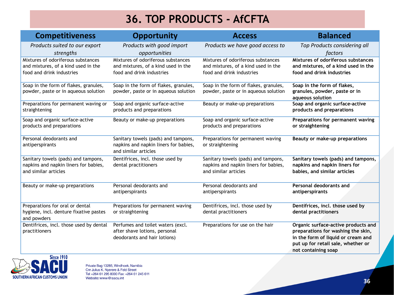# **36. TOP PRODUCTS - AfCFTA**

| <b>Competitiveness</b>                                                                                 | <b>Opportunity</b>                                                                                     | <b>Access</b>                                                                                          | <b>Balanced</b>                                                                                                                                                              |
|--------------------------------------------------------------------------------------------------------|--------------------------------------------------------------------------------------------------------|--------------------------------------------------------------------------------------------------------|------------------------------------------------------------------------------------------------------------------------------------------------------------------------------|
| Products suited to our export<br>strengths                                                             | Products with good import<br>opportunities                                                             | Products we have good access to                                                                        | Top Products considering all<br>factors                                                                                                                                      |
| Mixtures of odoriferous substances<br>and mixtures, of a kind used in the<br>food and drink industries | Mixtures of odoriferous substances<br>and mixtures, of a kind used in the<br>food and drink industries | Mixtures of odoriferous substances<br>and mixtures, of a kind used in the<br>food and drink industries | Mixtures of odoriferous substances<br>and mixtures, of a kind used in the<br>food and drink industries                                                                       |
| Soap in the form of flakes, granules,<br>powder, paste or in aqueous solution                          | Soap in the form of flakes, granules,<br>powder, paste or in aqueous solution                          | Soap in the form of flakes, granules,<br>powder, paste or in aqueous solution                          | Soap in the form of flakes,<br>granules, powder, paste or in<br>aqueous solution                                                                                             |
| Preparations for permanent waving or<br>straightening                                                  | Soap and organic surface-active<br>products and preparations                                           | Beauty or make-up preparations                                                                         | Soap and organic surface-active<br>products and preparations                                                                                                                 |
| Soap and organic surface-active<br>products and preparations                                           | Beauty or make-up preparations                                                                         | Soap and organic surface-active<br>products and preparations                                           | Preparations for permanent waving<br>or straightening                                                                                                                        |
| Personal deodorants and<br>antiperspirants                                                             | Sanitary towels (pads) and tampons,<br>napkins and napkin liners for babies,<br>and similar articles   | Preparations for permanent waving<br>or straightening                                                  | Beauty or make-up preparations                                                                                                                                               |
| Sanitary towels (pads) and tampons,<br>napkins and napkin liners for babies,<br>and similar articles   | Dentifrices, incl. those used by<br>dental practitioners                                               | Sanitary towels (pads) and tampons,<br>napkins and napkin liners for babies,<br>and similar articles   | Sanitary towels (pads) and tampons,<br>napkins and napkin liners for<br>babies, and similar articles                                                                         |
| Beauty or make-up preparations                                                                         | Personal deodorants and<br>antiperspirants                                                             | Personal deodorants and<br>antiperspirants                                                             | Personal deodorants and<br>antiperspirants                                                                                                                                   |
| Preparations for oral or dental<br>hygiene, incl. denture fixative pastes<br>and powders               | Preparations for permanent waving<br>or straightening                                                  | Dentifrices, incl. those used by<br>dental practitioners                                               | Dentifrices, incl. those used by<br>dental practitioners                                                                                                                     |
| Dentifrices, incl. those used by dental<br>practitioners                                               | Perfumes and toilet waters (excl.<br>after shave lotions, personal<br>deodorants and hair lotions)     | Preparations for use on the hair                                                                       | Organic surface-active products and<br>preparations for washing the skin,<br>in the form of liquid or cream and<br>put up for retail sale, whether or<br>not containing soap |

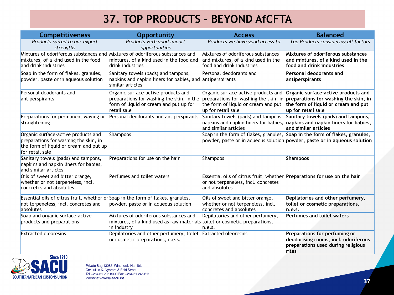# **37. TOP PRODUCTS – BEYOND AfCFTA**

| <b>Competitiveness</b>                                                                                                                    | <b>Opportunity</b>                                                                                                                            | <b>Access</b>                                                                                                                    | <b>Balanced</b>                                                                                                                                                                                                     |
|-------------------------------------------------------------------------------------------------------------------------------------------|-----------------------------------------------------------------------------------------------------------------------------------------------|----------------------------------------------------------------------------------------------------------------------------------|---------------------------------------------------------------------------------------------------------------------------------------------------------------------------------------------------------------------|
| Products suited to our export<br>strengths                                                                                                | Products with good import<br>opportunities                                                                                                    | Products we have good access to                                                                                                  | Top Products considering all factors                                                                                                                                                                                |
| mixtures, of a kind used in the food<br>and drink industries                                                                              | Mixtures of odoriferous substances and Mixtures of odoriferous substances and<br>mixtures, of a kind used in the food and<br>drink industries | Mixtures of odoriferous substances<br>and mixtures, of a kind used in the<br>food and drink industries                           | Mixtures of odoriferous substances<br>and mixtures, of a kind used in the<br>food and drink industries                                                                                                              |
| Soap in the form of flakes, granules,<br>powder, paste or in aqueous solution                                                             | Sanitary towels (pads) and tampons,<br>napkins and napkin liners for babies, and antiperspirants<br>similar articles                          | Personal deodorants and                                                                                                          | Personal deodorants and<br>antiperspirants                                                                                                                                                                          |
| Personal deodorants and<br>antiperspirants                                                                                                | Organic surface-active products and<br>preparations for washing the skin, in the<br>form of liquid or cream and put up for<br>retail sale     | the form of liquid or cream and put<br>up for retail sale                                                                        | Organic surface-active products and Organic surface-active products and<br>preparations for washing the skin, in preparations for washing the skin, in<br>the form of liquid or cream and put<br>up for retail sale |
| Preparations for permanent waving or<br>straightening                                                                                     | Personal deodorants and antiperspirants                                                                                                       | and similar articles                                                                                                             | Sanitary towels (pads) and tampons, Sanitary towels (pads) and tampons,<br>napkins and napkin liners for babies, napkins and napkin liners for babies,<br>and similar articles                                      |
| Organic surface-active products and<br>preparations for washing the skin, in<br>the form of liquid or cream and put up<br>for retail sale | Shampoos                                                                                                                                      |                                                                                                                                  | Soap in the form of flakes, granules, Soap in the form of flakes, granules,<br>powder, paste or in aqueous solution powder, paste or in aqueous solution                                                            |
| Sanitary towels (pads) and tampons,<br>napkins and napkin liners for babies,<br>and similar articles                                      | Preparations for use on the hair                                                                                                              | Shampoos                                                                                                                         | <b>Shampoos</b>                                                                                                                                                                                                     |
| Oils of sweet and bitter orange,<br>whether or not terpeneless, incl.<br>concretes and absolutes                                          | Perfumes and toilet waters                                                                                                                    | Essential oils of citrus fruit, whether Preparations for use on the hair<br>or not terpeneless, incl. concretes<br>and absolutes |                                                                                                                                                                                                                     |
| Essential oils of citrus fruit, whether or Soap in the form of flakes, granules,<br>not terpeneless, incl. concretes and<br>absolutes     | powder, paste or in aqueous solution                                                                                                          | Oils of sweet and bitter orange,<br>whether or not terpeneless, incl.<br>concretes and absolutes                                 | Depilatories and other perfumery,<br>toilet or cosmetic preparations,<br>n.e.s.                                                                                                                                     |
| Soap and organic surface-active<br>products and preparations                                                                              | Mixtures of odoriferous substances and<br>mixtures, of a kind used as raw materials toilet or cosmetic preparations,<br>in industry           | Depilatories and other perfumery,<br>n.e.s.                                                                                      | Perfumes and toilet waters                                                                                                                                                                                          |
| <b>Extracted oleoresins</b>                                                                                                               | Depilatories and other perfumery, toilet Extracted oleoresins<br>or cosmetic preparations, n.e.s.                                             |                                                                                                                                  | Preparations for perfuming or<br>deodorising rooms, incl. odoriferous<br>preparations used during religious<br>rites                                                                                                |

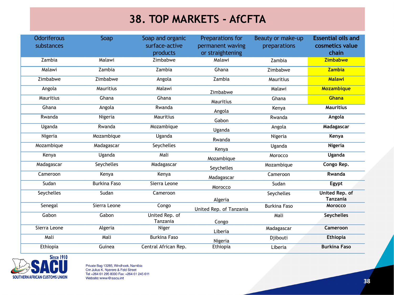#### **38. TOP MARKETS - AfCFTA**

| <b>Odoriferous</b> | Soap                | Soap and organic     | Preparations for        | Beauty or make-up   | <b>Essential oils and</b>  |
|--------------------|---------------------|----------------------|-------------------------|---------------------|----------------------------|
| substances         |                     | surface-active       | permanent waving        | preparations        | cosmetics value            |
|                    |                     | products             | or straightening        |                     | chain                      |
| Zambia             | Malawi              | Zimbabwe             | Malawi                  | Zambia              | <b>Zimbabwe</b>            |
| Malawi             | Zambia              | Zambia               | Ghana                   | Zimbabwe            | <b>Zambia</b>              |
| Zimbabwe           | Zimbabwe            | Angola               | Zambia                  | Mauritius           | <b>Malawi</b>              |
| Angola             | Mauritius           | Malawi               | Zimbabwe                | Malawi              | Mozambique                 |
| Mauritius          | Ghana               | Ghana                | Mauritius               | Ghana               | <b>Ghana</b>               |
| Ghana              | Angola              | Rwanda               | Angola                  | Kenya               | <b>Mauritius</b>           |
| Rwanda             | Nigeria             | Mauritius            | Gabon                   | Rwanda              | Angola                     |
| Uganda             | Rwanda              | Mozambique           | Uganda                  | Angola              | Madagascar                 |
| Nigeria            | Mozambique          | Uganda               | Rwanda                  | Nigeria             | Kenya                      |
| Mozambique         | Madagascar          | Seychelles           | Kenya                   | Uganda              | <b>Nigeria</b>             |
| Kenya              | Uganda              | Mali                 | Mozambique              | Morocco             | <b>Uganda</b>              |
| Madagascar         | Seychelles          | Madagascar           | Seychelles              | Mozambique          | Congo Rep.                 |
| Cameroon           | Kenya               | Kenya                | Madagascar              | Cameroon            | Rwanda                     |
| Sudan              | <b>Burkina Faso</b> | Sierra Leone         | Morocco                 | Sudan               | Egypt                      |
| Seychelles         | Sudan               | Cameroon             |                         | Seychelles          | United Rep. of<br>Tanzania |
| Senegal            | Sierra Leone        | Congo                | Algeria                 | <b>Burkina Faso</b> | Morocco                    |
|                    |                     |                      | United Rep. of Tanzania |                     |                            |
| Gabon              | Gabon               | United Rep. of       |                         | Mali                | <b>Seychelles</b>          |
|                    |                     | Tanzania             | Congo                   |                     |                            |
| Sierra Leone       | Algeria             | Niger                | Liberia                 | Madagascar          | Cameroon                   |
| Mali               | Mali                | <b>Burkina Faso</b>  | Nigeria                 | Djibouti            | <b>Ethiopia</b>            |
| Ethiopia           | Guinea              | Central African Rep. | Ethiopia                | Liberia             | <b>Burkina Faso</b>        |

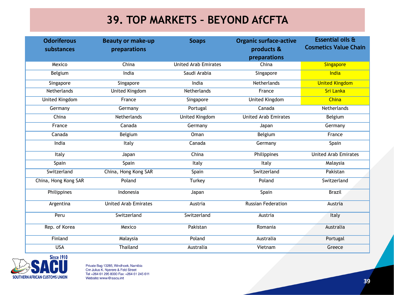#### **39. TOP MARKETS – BEYOND AfCFTA**

| <b>Odoriferous</b><br>substances | <b>Beauty or make-up</b><br>preparations | <b>Soaps</b>                | <b>Organic surface-active</b><br>products & | Essential oils &<br><b>Cosmetics Value Chain</b> |
|----------------------------------|------------------------------------------|-----------------------------|---------------------------------------------|--------------------------------------------------|
|                                  |                                          |                             | preparations                                |                                                  |
| Mexico                           | China                                    | <b>United Arab Emirates</b> | China                                       | <b>Singapore</b>                                 |
| Belgium                          | India                                    | Saudi Arabia                | Singapore                                   | India                                            |
| Singapore                        | Singapore                                | India                       | Netherlands                                 | <b>United Kingdom</b>                            |
| Netherlands                      | <b>United Kingdom</b>                    | Netherlands                 | France                                      | <b>Sri Lanka</b>                                 |
| <b>United Kingdom</b>            | France                                   | Singapore                   | <b>United Kingdom</b>                       | <b>China</b>                                     |
| Germany                          | Germany                                  | Portugal                    | Canada                                      | Netherlands                                      |
| China                            | Netherlands                              | United Kingdom              | <b>United Arab Emirates</b>                 | Belgium                                          |
| France                           | Canada                                   | Germany                     | Japan                                       | Germany                                          |
| Canada                           | Belgium                                  | Oman                        | Belgium                                     | France                                           |
| India                            | Italy                                    | Canada                      | Germany                                     | Spain                                            |
| Italy                            | Japan                                    | China                       | Philippines                                 | <b>United Arab Emirates</b>                      |
| Spain                            | Spain                                    | Italy                       | Italy                                       | Malaysia                                         |
| Switzerland                      | China, Hong Kong SAR                     | Spain                       | Switzerland                                 | Pakistan                                         |
| China, Hong Kong SAR             | Poland                                   | Turkey                      | Poland                                      | Switzerland                                      |
| Philippines                      | Indonesia                                | Japan                       | Spain                                       | <b>Brazil</b>                                    |
| Argentina                        | <b>United Arab Emirates</b>              | Austria                     | <b>Russian Federation</b>                   | Austria                                          |
| Peru                             | Switzerland                              | Switzerland                 | Austria                                     | Italy                                            |
| Rep. of Korea                    | Mexico                                   | Pakistan                    | Romania                                     | Australia                                        |
| Finland                          | Malaysia                                 | Poland                      | Australia                                   | Portugal                                         |
| <b>USA</b>                       | Thailand                                 | Australia                   | Vietnam                                     | Greece                                           |

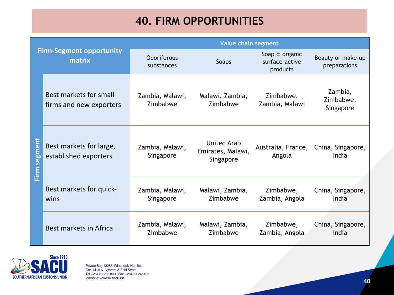#### **40. FIRM OPPORTUNITIES**

| <b>Firm-Segment opportunity</b><br>matrix |                                                   | Value chain segment              |                                                      |                                              |                                               |
|-------------------------------------------|---------------------------------------------------|----------------------------------|------------------------------------------------------|----------------------------------------------|-----------------------------------------------|
|                                           |                                                   | <b>Odoriferous</b><br>substances | Soaps                                                | Soap & organic<br>surface-active<br>products | Beauty or make-up<br>preparations             |
|                                           | Best markets for small<br>firms and new exporters | Zambia, Malawi,<br>Zimbabwe      | Malawi, Zambia,<br>Zimbabwe                          | Zimbabwe,<br>Zambia, Malawi                  | Zambia,<br>Zimbabwe,<br>Singapore             |
| <u>Firm segment</u>                       | Best markets for large,<br>established exporters  | Zambia, Malawi,<br>Singapore     | <b>United Arab</b><br>Emirates, Malawi,<br>Singapore | Angola                                       | Australia, France, China, Singapore,<br>India |
|                                           | Best markets for quick-<br>wins                   | Zambia, Malawi,<br>Singapore     | Malawi, Zambia,<br>Zimbabwe                          | Zimbabwe,<br>Zambia, Angola                  | China, Singapore,<br>India                    |
|                                           | Best markets in Africa                            | Zambia, Malawi,<br>Zimbabwe      | Malawi, Zambia,<br>Zimbabwe                          | Zimbabwe,<br>Zambia, Angola                  | China, Singapore,<br>India                    |

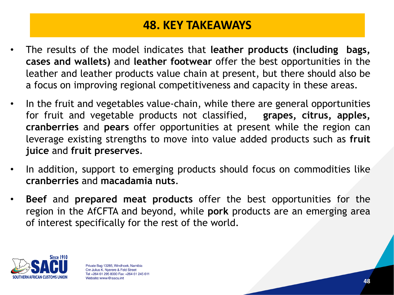#### **48. KEY TAKEAWAYS**

- The results of the model indicates that **leather products (including bags, cases and wallets)** and **leather footwear** offer the best opportunities in the leather and leather products value chain at present, but there should also be a focus on improving regional competitiveness and capacity in these areas.
- In the fruit and vegetables value-chain, while there are general opportunities for fruit and vegetable products not classified, **grapes, citrus, apples, cranberries** and **pears** offer opportunities at present while the region can leverage existing strengths to move into value added products such as **fruit juice** and **fruit preserves**.
- In addition, support to emerging products should focus on commodities like **cranberries** and **macadamia nuts**.
- **Beef** and **prepared meat products** offer the best opportunities for the region in the AfCFTA and beyond, while **pork** products are an emerging area of interest specifically for the rest of the world.

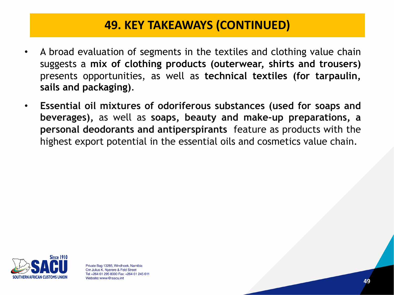#### **49. KEY TAKEAWAYS (CONTINUED)**

- A broad evaluation of segments in the textiles and clothing value chain suggests a **mix of clothing products (outerwear, shirts and trousers)** presents opportunities, as well as **technical textiles (for tarpaulin, sails and packaging)**.
- **Essential oil mixtures of odoriferous substances (used for soaps and beverages),** as well as **soaps, beauty and make-up preparations, a personal deodorants and antiperspirants** feature as products with the highest export potential in the essential oils and cosmetics value chain.